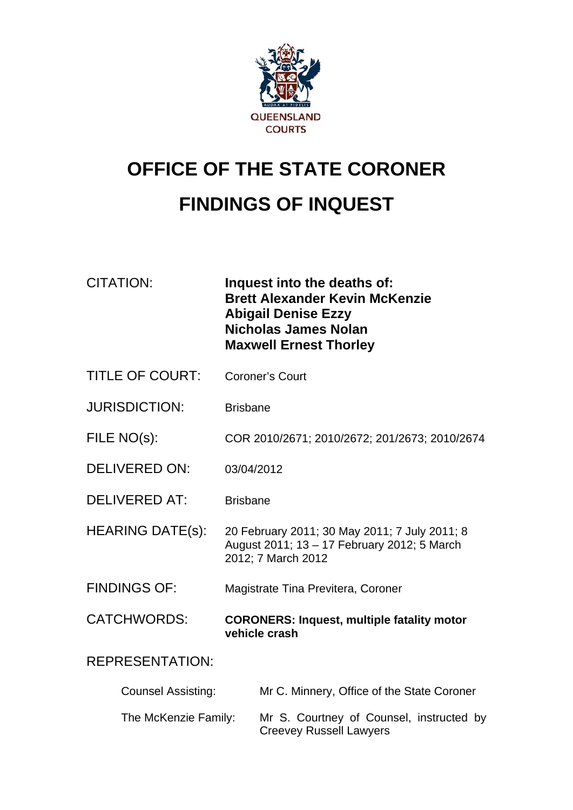

# **OFFICE OF THE STATE CORONER FINDINGS OF INQUEST**

| <b>CITATION:</b>          | Inquest into the deaths of:<br><b>Brett Alexander Kevin McKenzie</b><br><b>Abigail Denise Ezzy</b><br>Nicholas James Nolan<br><b>Maxwell Ernest Thorley</b> |  |
|---------------------------|-------------------------------------------------------------------------------------------------------------------------------------------------------------|--|
| <b>TITLE OF COURT:</b>    | <b>Coroner's Court</b>                                                                                                                                      |  |
| <b>JURISDICTION:</b>      | <b>Brisbane</b>                                                                                                                                             |  |
| FILE NO(s):               | COR 2010/2671; 2010/2672; 201/2673; 2010/2674                                                                                                               |  |
| <b>DELIVERED ON:</b>      | 03/04/2012                                                                                                                                                  |  |
| <b>DELIVERED AT:</b>      | <b>Brisbane</b>                                                                                                                                             |  |
| <b>HEARING DATE(s):</b>   | 20 February 2011; 30 May 2011; 7 July 2011; 8<br>August 2011; 13 - 17 February 2012; 5 March<br>2012; 7 March 2012                                          |  |
| <b>FINDINGS OF:</b>       | Magistrate Tina Previtera, Coroner                                                                                                                          |  |
| <b>CATCHWORDS:</b>        | <b>CORONERS: Inquest, multiple fatality motor</b><br>vehicle crash                                                                                          |  |
| <b>REPRESENTATION:</b>    |                                                                                                                                                             |  |
| <b>Counsel Assisting:</b> | Mr C. Minnery, Office of the State Coroner                                                                                                                  |  |
| The McKenzie Family:      | Mr S. Courtney of Counsel, instructed by                                                                                                                    |  |

Creevey Russell Lawyers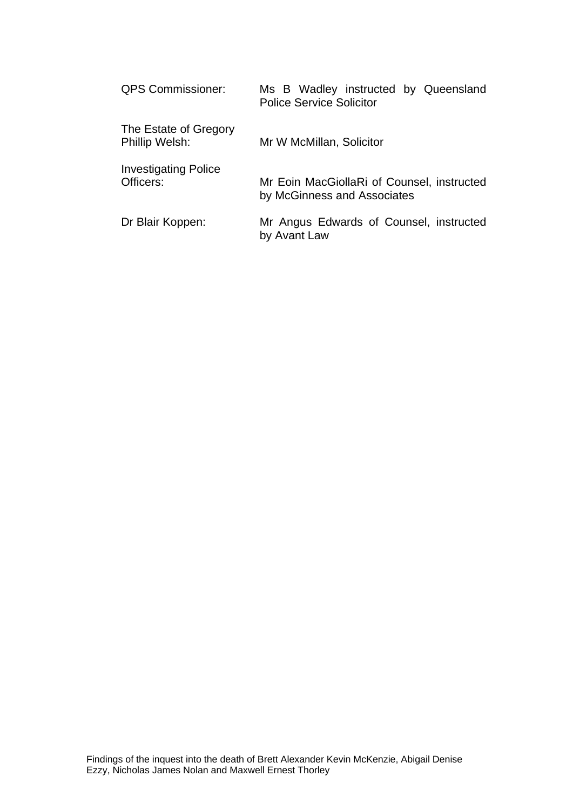| <b>QPS Commissioner:</b>                 | Ms B Wadley instructed by Queensland<br><b>Police Service Solicitor</b>   |
|------------------------------------------|---------------------------------------------------------------------------|
| The Estate of Gregory<br>Phillip Welsh:  | Mr W McMillan, Solicitor                                                  |
| <b>Investigating Police</b><br>Officers: | Mr Eoin MacGiollaRi of Counsel, instructed<br>by McGinness and Associates |
| Dr Blair Koppen:                         | Mr Angus Edwards of Counsel, instructed<br>by Avant Law                   |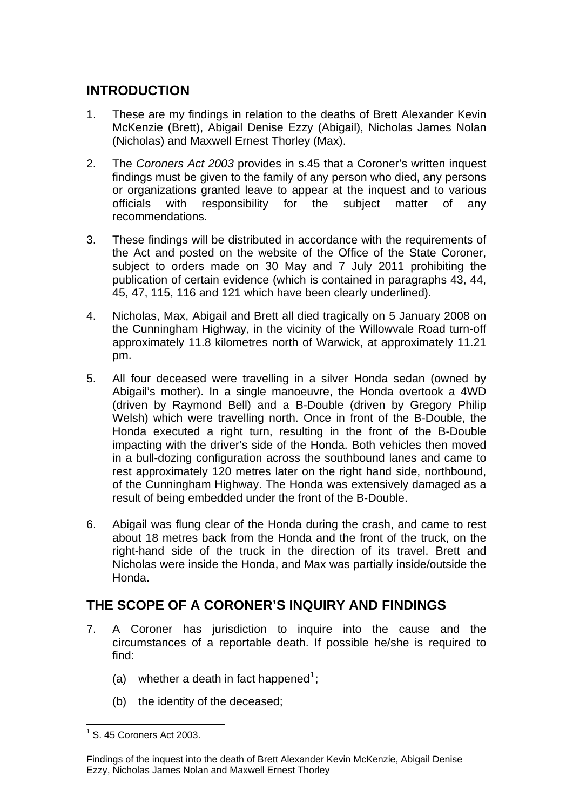## **INTRODUCTION**

- 1. These are my findings in relation to the deaths of Brett Alexander Kevin McKenzie (Brett), Abigail Denise Ezzy (Abigail), Nicholas James Nolan (Nicholas) and Maxwell Ernest Thorley (Max).
- 2. The *Coroners Act 2003* provides in s.45 that a Coroner's written inquest findings must be given to the family of any person who died, any persons or organizations granted leave to appear at the inquest and to various officials with responsibility for the subject matter of any recommendations.
- 3. These findings will be distributed in accordance with the requirements of the Act and posted on the website of the Office of the State Coroner, subject to orders made on 30 May and 7 July 2011 prohibiting the publication of certain evidence (which is contained in paragraphs 43, 44, 45, 47, 115, 116 and 121 which have been clearly underlined).
- 4. Nicholas, Max, Abigail and Brett all died tragically on 5 January 2008 on the Cunningham Highway, in the vicinity of the Willowvale Road turn-off approximately 11.8 kilometres north of Warwick, at approximately 11.21 pm.
- 5. All four deceased were travelling in a silver Honda sedan (owned by Abigail's mother). In a single manoeuvre, the Honda overtook a 4WD (driven by Raymond Bell) and a B-Double (driven by Gregory Philip Welsh) which were travelling north. Once in front of the B-Double, the Honda executed a right turn, resulting in the front of the B-Double impacting with the driver's side of the Honda. Both vehicles then moved in a bull-dozing configuration across the southbound lanes and came to rest approximately 120 metres later on the right hand side, northbound, of the Cunningham Highway. The Honda was extensively damaged as a result of being embedded under the front of the B-Double.
- 6. Abigail was flung clear of the Honda during the crash, and came to rest about 18 metres back from the Honda and the front of the truck, on the right-hand side of the truck in the direction of its travel. Brett and Nicholas were inside the Honda, and Max was partially inside/outside the Honda.

## **THE SCOPE OF A CORONER'S INQUIRY AND FINDINGS**

- 7. A Coroner has jurisdiction to inquire into the cause and the circumstances of a reportable death. If possible he/she is required to find:
	- (a) whether a death in fact happened<sup>[1](#page-2-0)</sup>;
	- (b) the identity of the deceased;

<span id="page-2-0"></span> 1 S. 45 Coroners Act 2003.

Findings of the inquest into the death of Brett Alexander Kevin McKenzie, Abigail Denise Ezzy, Nicholas James Nolan and Maxwell Ernest Thorley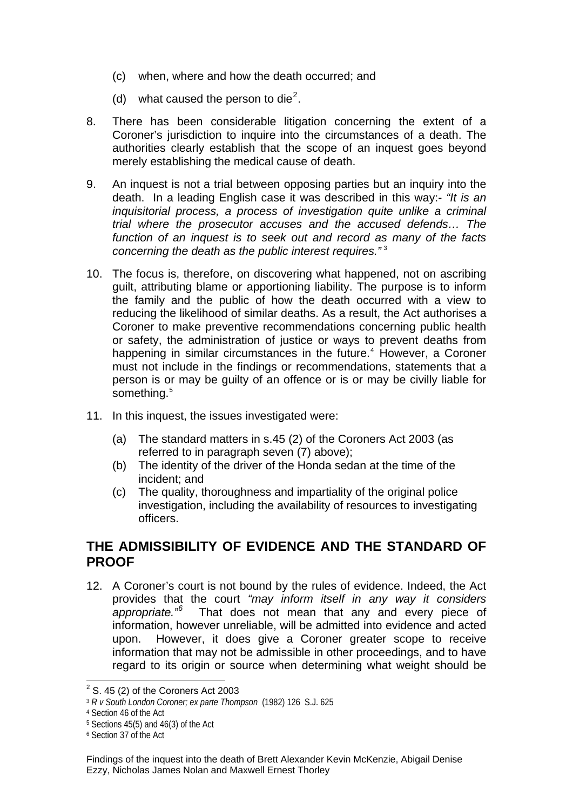- (c) when, where and how the death occurred; and
- (d) what caused the person to die<sup>[2](#page-3-0)</sup>.
- 8. There has been considerable litigation concerning the extent of a Coroner's jurisdiction to inquire into the circumstances of a death. The authorities clearly establish that the scope of an inquest goes beyond merely establishing the medical cause of death.
- 9. An inquest is not a trial between opposing parties but an inquiry into the death. In a leading English case it was described in this way:- *"It is an inquisitorial process, a process of investigation quite unlike a criminal trial where the prosecutor accuses and the accused defends… The function of an inquest is to seek out and record as many of the facts concerning the death as the public interest requires.*"<sup>[3](#page-3-1)</sup>
- 10. The focus is, therefore, on discovering what happened, not on ascribing guilt, attributing blame or apportioning liability. The purpose is to inform the family and the public of how the death occurred with a view to reducing the likelihood of similar deaths. As a result, the Act authorises a Coroner to make preventive recommendations concerning public health or safety, the administration of justice or ways to prevent deaths from happening in similar circumstances in the future.<sup>[4](#page-3-2)</sup> However, a Coroner must not include in the findings or recommendations, statements that a person is or may be guilty of an offence or is or may be civilly liable for something.<sup>[5](#page-3-3)</sup>
- 11. In this inquest, the issues investigated were:
	- (a) The standard matters in s.45 (2) of the Coroners Act 2003 (as referred to in paragraph seven (7) above);
	- (b) The identity of the driver of the Honda sedan at the time of the incident; and
	- (c) The quality, thoroughness and impartiality of the original police investigation, including the availability of resources to investigating officers.

## **THE ADMISSIBILITY OF EVIDENCE AND THE STANDARD OF PROOF**

12. A Coroner's court is not bound by the rules of evidence. Indeed, the Act provides that the court *"may inform itself in any way it considers appropriate."[6](#page-3-4)* That does not mean that any and every piece of information, however unreliable, will be admitted into evidence and acted upon. However, it does give a Coroner greater scope to receive information that may not be admissible in other proceedings, and to have regard to its origin or source when determining what weight should be

 $\overline{a^2}$  S. 45 (2) of the Coroners Act 2003

<span id="page-3-1"></span><span id="page-3-0"></span><sup>3</sup> *R v South London Coroner; ex parte Thompson* (1982) 126 S.J. 625

<span id="page-3-2"></span><sup>4</sup> Section 46 of the Act

<span id="page-3-3"></span> $5$  Sections 45(5) and 46(3) of the Act

<span id="page-3-4"></span><sup>6</sup> Section 37 of the Act

Findings of the inquest into the death of Brett Alexander Kevin McKenzie, Abigail Denise Ezzy, Nicholas James Nolan and Maxwell Ernest Thorley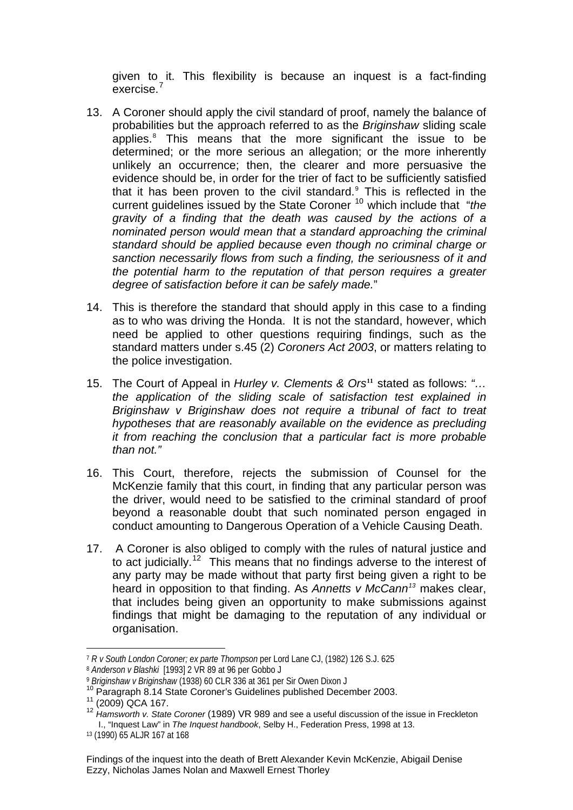given to it. This flexibility is because an inquest is a fact-finding exercise.<sup>7</sup>

- 13. A Coroner should apply the civil standard of proof, namely the balance of probabilities but the approach referred to as the *Briginshaw* sliding scale applies.<sup>[8](#page-4-0)</sup> This means that the more significant the issue to be determined; or the more serious an allegation; or the more inherently unlikely an occurrence; then, the clearer and more persuasive the evidence should be, in order for the trier of fact to be sufficiently satisfied that it has been proven to the civil standard. $9$  This is reflected in the current guidelines issued by the State Coroner [10](#page-4-2) which include that "*the gravity of a finding that the death was caused by the actions of a nominated person would mean that a standard approaching the criminal standard should be applied because even though no criminal charge or sanction necessarily flows from such a finding, the seriousness of it and the potential harm to the reputation of that person requires a greater degree of satisfaction before it can be safely made.*"
- 14. This is therefore the standard that should apply in this case to a finding as to who was driving the Honda. It is not the standard, however, which need be applied to other questions requiring findings, such as the standard matters under s.45 (2) *Coroners Act 2003*, or matters relating to the police investigation.
- 15. The Court of Appeal in *Hurley v. Clements & Ors***[11](#page-4-3)** stated as follows: *"… the application of the sliding scale of satisfaction test explained in Briginshaw v Briginshaw does not require a tribunal of fact to treat hypotheses that are reasonably available on the evidence as precluding it from reaching the conclusion that a particular fact is more probable than not."*
- 16. This Court, therefore, rejects the submission of Counsel for the McKenzie family that this court, in finding that any particular person was the driver, would need to be satisfied to the criminal standard of proof beyond a reasonable doubt that such nominated person engaged in conduct amounting to Dangerous Operation of a Vehicle Causing Death.
- 17. A Coroner is also obliged to comply with the rules of natural justice and to act judicially.<sup>[12](#page-4-4)</sup> This means that no findings adverse to the interest of any party may be made without that party first being given a right to be heard in opposition to that finding. As *Annetts v McCann[13](#page-4-5)* makes clear, that includes being given an opportunity to make submissions against findings that might be damaging to the reputation of any individual or organisation.

l <sup>7</sup> *R v South London Coroner; ex parte Thompson* per Lord Lane CJ, (1982) 126 S.J. 625

<span id="page-4-0"></span><sup>&</sup>lt;sup>8</sup> Anderson v Blashki [1993] 2 VR 89 at 96 per Gobbo J<br><sup>9</sup> Briginshaw v Briginshaw (1938) 60 CLR 336 at 361 per Sir Owen Dixon J

<span id="page-4-4"></span>

<span id="page-4-3"></span><span id="page-4-2"></span><span id="page-4-1"></span><sup>&</sup>lt;sup>10</sup> Paragraph 8.14 State Coroner's Guidelines published December 2003.<br><sup>11</sup> (2009) QCA 167.<br><sup>12</sup> Hamsworth v. State Coroner (1989) VR 989 and see a useful discussion of the issue in Freckleton I., "Inquest Law" in *The Inquest handbook*, Selby H., Federation Press, 1998 at 13.

<span id="page-4-5"></span><sup>13 (1990) 65</sup> ALJR 167 at 168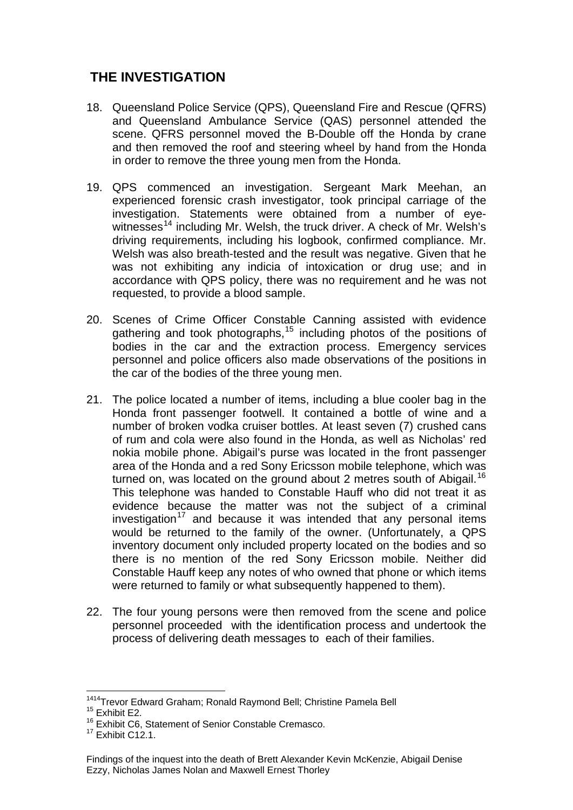## **THE INVESTIGATION**

- 18. Queensland Police Service (QPS), Queensland Fire and Rescue (QFRS) and Queensland Ambulance Service (QAS) personnel attended the scene. QFRS personnel moved the B-Double off the Honda by crane and then removed the roof and steering wheel by hand from the Honda in order to remove the three young men from the Honda.
- 19. QPS commenced an investigation. Sergeant Mark Meehan, an experienced forensic crash investigator, took principal carriage of the investigation. Statements were obtained from a number of eye-witnesses<sup>[14](#page-5-0)</sup> including Mr. Welsh, the truck driver. A check of Mr. Welsh's driving requirements, including his logbook, confirmed compliance. Mr. Welsh was also breath-tested and the result was negative. Given that he was not exhibiting any indicia of intoxication or drug use; and in accordance with QPS policy, there was no requirement and he was not requested, to provide a blood sample.
- 20. Scenes of Crime Officer Constable Canning assisted with evidence gathering and took photographs,<sup>[15](#page-5-1)</sup> including photos of the positions of bodies in the car and the extraction process. Emergency services personnel and police officers also made observations of the positions in the car of the bodies of the three young men.
- 21. The police located a number of items, including a blue cooler bag in the Honda front passenger footwell. It contained a bottle of wine and a number of broken vodka cruiser bottles. At least seven (7) crushed cans of rum and cola were also found in the Honda, as well as Nicholas' red nokia mobile phone. Abigail's purse was located in the front passenger area of the Honda and a red Sony Ericsson mobile telephone, which was turned on, was located on the ground about 2 metres south of Abigail.<sup>[16](#page-5-2)</sup> This telephone was handed to Constable Hauff who did not treat it as evidence because the matter was not the subject of a criminal investigation<sup>[17](#page-5-3)</sup> and because it was intended that any personal items would be returned to the family of the owner. (Unfortunately, a QPS inventory document only included property located on the bodies and so there is no mention of the red Sony Ericsson mobile. Neither did Constable Hauff keep any notes of who owned that phone or which items were returned to family or what subsequently happened to them).
- 22. The four young persons were then removed from the scene and police personnel proceeded with the identification process and undertook the process of delivering death messages to each of their families.

<sup>&</sup>lt;sup>1414</sup>Trevor Edward Graham; Ronald Raymond Bell; Christine Pamela Bell<br><sup>15</sup> Exhibit E2.

<span id="page-5-1"></span><span id="page-5-0"></span> $15$  Exhibit E2.<br> $16$  Exhibit C6, Statement of Senior Constable Cremasco.

<span id="page-5-3"></span><span id="page-5-2"></span> $17$  Fxhibit C<sub>12</sub>.1.

Findings of the inquest into the death of Brett Alexander Kevin McKenzie, Abigail Denise Ezzy, Nicholas James Nolan and Maxwell Ernest Thorley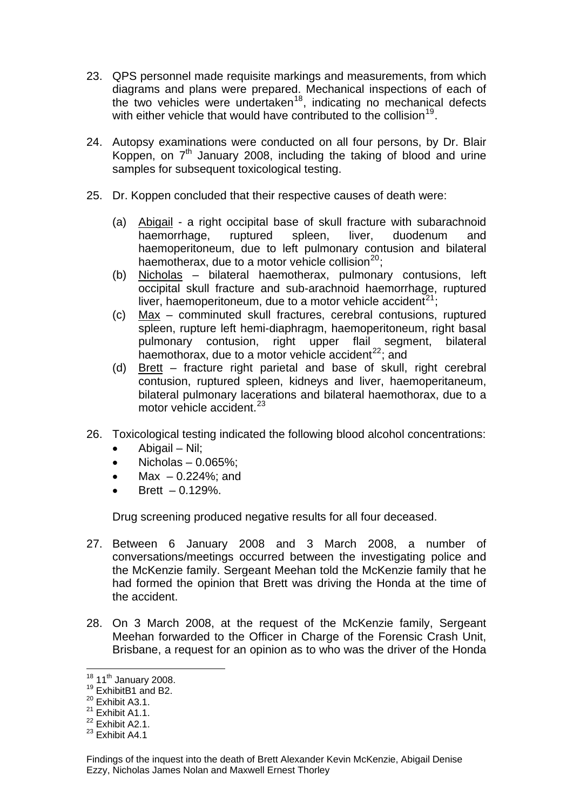- 23. QPS personnel made requisite markings and measurements, from which diagrams and plans were prepared. Mechanical inspections of each of the two vehicles were undertaken<sup>[18](#page-6-0)</sup>, indicating no mechanical defects with either vehicle that would have contributed to the collision<sup>[19](#page-6-1)</sup>.
- 24. Autopsy examinations were conducted on all four persons, by Dr. Blair Koppen, on  $7<sup>th</sup>$  January 2008, including the taking of blood and urine samples for subsequent toxicological testing.
- 25. Dr. Koppen concluded that their respective causes of death were:
	- (a) Abigail a right occipital base of skull fracture with subarachnoid haemorrhage, ruptured spleen, liver, duodenum and haemoperitoneum, due to left pulmonary contusion and bilateral haemotherax, due to a motor vehicle collision $^{20}$  $^{20}$  $^{20}$ :
	- (b) Nicholas bilateral haemotherax, pulmonary contusions, left occipital skull fracture and sub-arachnoid haemorrhage, ruptured liver, haemoperitoneum, due to a motor vehicle accident<sup>[21](#page-6-3)</sup>;
	- (c) Max comminuted skull fractures, cerebral contusions, ruptured spleen, rupture left hemi-diaphragm, haemoperitoneum, right basal pulmonary contusion, right upper flail segment, bilateral haemothorax, due to a motor vehicle accident<sup>[22](#page-6-4)</sup>; and
	- (d) Brett fracture right parietal and base of skull, right cerebral contusion, ruptured spleen, kidneys and liver, haemoperitaneum, bilateral pulmonary lacerations and bilateral haemothorax, due to a motor vehicle accident.<sup>[23](#page-6-5)</sup>
- 26. Toxicological testing indicated the following blood alcohol concentrations:
	- $\bullet$  Abigail Nil:
	- $\bullet$  Nicholas 0.065%;
	- Max  $-0.224\%$ ; and
	- $\bullet$  Brett  $-0.129\%$ .

Drug screening produced negative results for all four deceased.

- 27. Between 6 January 2008 and 3 March 2008, a number of conversations/meetings occurred between the investigating police and the McKenzie family. Sergeant Meehan told the McKenzie family that he had formed the opinion that Brett was driving the Honda at the time of the accident.
- 28. On 3 March 2008, at the request of the McKenzie family, Sergeant Meehan forwarded to the Officer in Charge of the Forensic Crash Unit, Brisbane, a request for an opinion as to who was the driver of the Honda

<span id="page-6-0"></span> $18$  11<sup>th</sup> January 2008.

<span id="page-6-1"></span> $19$  ExhibitB1 and B2.

<span id="page-6-2"></span> $20$  Exhibit A3.1.

<span id="page-6-3"></span> $21$  Exhibit A1.1.

<span id="page-6-4"></span> $22$  Exhibit A2.1.

<span id="page-6-5"></span> $^{23}$  Exhibit A4.1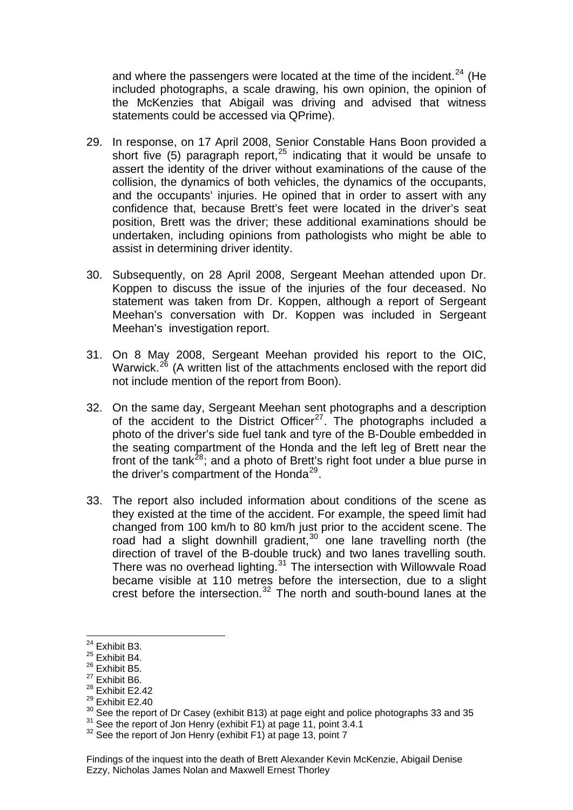and where the passengers were located at the time of the incident. $24$  (He included photographs, a scale drawing, his own opinion, the opinion of the McKenzies that Abigail was driving and advised that witness statements could be accessed via QPrime).

- 29. In response, on 17 April 2008, Senior Constable Hans Boon provided a short five  $(5)$  paragraph report,<sup>[25](#page-7-0)</sup> indicating that it would be unsafe to assert the identity of the driver without examinations of the cause of the collision, the dynamics of both vehicles, the dynamics of the occupants, and the occupants' injuries. He opined that in order to assert with any confidence that, because Brett's feet were located in the driver's seat position, Brett was the driver; these additional examinations should be undertaken, including opinions from pathologists who might be able to assist in determining driver identity.
- 30. Subsequently, on 28 April 2008, Sergeant Meehan attended upon Dr. Koppen to discuss the issue of the injuries of the four deceased. No statement was taken from Dr. Koppen, although a report of Sergeant Meehan's conversation with Dr. Koppen was included in Sergeant Meehan's investigation report.
- 31. On 8 May 2008, Sergeant Meehan provided his report to the OIC, Warwick.<sup>[26](#page-7-1)</sup> (A written list of the attachments enclosed with the report did not include mention of the report from Boon).
- 32. On the same day, Sergeant Meehan sent photographs and a description of the accident to the District Officer<sup>[27](#page-7-2)</sup>. The photographs included a photo of the driver's side fuel tank and tyre of the B-Double embedded in the seating compartment of the Honda and the left leg of Brett near the front of the tank<sup>[28](#page-7-3)</sup>; and a photo of Brett's right foot under a blue purse in the driver's compartment of the Honda<sup>[29](#page-7-4)</sup>.
- 33. The report also included information about conditions of the scene as they existed at the time of the accident. For example, the speed limit had changed from 100 km/h to 80 km/h just prior to the accident scene. The road had a slight downhill gradient,  $30$  one lane travelling north (the direction of travel of the B-double truck) and two lanes travelling south. There was no overhead lighting.<sup>[31](#page-7-6)</sup> The intersection with Willowvale Road became visible at 110 metres before the intersection, due to a slight crest before the intersection. $32$  The north and south-bound lanes at the

l  $24$  Exhibit B3.

<span id="page-7-0"></span> $25$  Exhibit B4.

<span id="page-7-1"></span> $26$  Exhibit B5.

<span id="page-7-2"></span> $27$  Exhibit B6.

<span id="page-7-3"></span><sup>28</sup> Exhibit E2.42

<span id="page-7-4"></span><sup>29</sup> Exhibit E2.40

<span id="page-7-5"></span><sup>&</sup>lt;sup>30</sup> See the report of Dr Casey (exhibit B13) at page eight and police photographs 33 and 35  $31$  See the report of Jon Henry (exhibit F1) at page 13, point 7<br><sup>32</sup> See the report of Jon Henry (exhibit F1) at page 13, poin

<span id="page-7-6"></span>

<span id="page-7-7"></span>

Findings of the inquest into the death of Brett Alexander Kevin McKenzie, Abigail Denise Ezzy, Nicholas James Nolan and Maxwell Ernest Thorley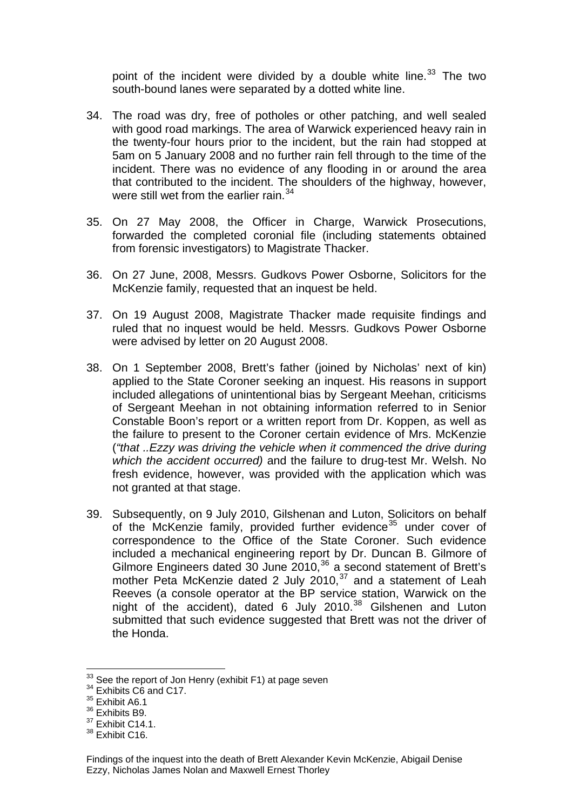point of the incident were divided by a double white line. $33$  The two south-bound lanes were separated by a dotted white line.

- 34. The road was dry, free of potholes or other patching, and well sealed with good road markings. The area of Warwick experienced heavy rain in the twenty-four hours prior to the incident, but the rain had stopped at 5am on 5 January 2008 and no further rain fell through to the time of the incident. There was no evidence of any flooding in or around the area that contributed to the incident. The shoulders of the highway, however, were still wet from the earlier rain.<sup>[34](#page-8-0)</sup>
- 35. On 27 May 2008, the Officer in Charge, Warwick Prosecutions, forwarded the completed coronial file (including statements obtained from forensic investigators) to Magistrate Thacker.
- 36. On 27 June, 2008, Messrs. Gudkovs Power Osborne, Solicitors for the McKenzie family, requested that an inquest be held.
- 37. On 19 August 2008, Magistrate Thacker made requisite findings and ruled that no inquest would be held. Messrs. Gudkovs Power Osborne were advised by letter on 20 August 2008.
- 38. On 1 September 2008, Brett's father (joined by Nicholas' next of kin) applied to the State Coroner seeking an inquest. His reasons in support included allegations of unintentional bias by Sergeant Meehan, criticisms of Sergeant Meehan in not obtaining information referred to in Senior Constable Boon's report or a written report from Dr. Koppen, as well as the failure to present to the Coroner certain evidence of Mrs. McKenzie (*"that ..Ezzy was driving the vehicle when it commenced the drive during which the accident occurred)* and the failure to drug-test Mr. Welsh. No fresh evidence, however, was provided with the application which was not granted at that stage.
- 39. Subsequently, on 9 July 2010, Gilshenan and Luton, Solicitors on behalf of the McKenzie family, provided further evidence<sup>[35](#page-8-1)</sup> under cover of correspondence to the Office of the State Coroner. Such evidence included a mechanical engineering report by Dr. Duncan B. Gilmore of Gilmore Engineers dated 30 June 2010,<sup>[36](#page-8-2)</sup> a second statement of Brett's mother Peta McKenzie dated 2 July 2010,<sup>[37](#page-8-3)</sup> and a statement of Leah Reeves (a console operator at the BP service station, Warwick on the night of the accident), dated 6 July 2010.<sup>[38](#page-8-4)</sup> Gilshenen and Luton submitted that such evidence suggested that Brett was not the driver of the Honda.

 $33$  See the report of Jon Henry (exhibit F1) at page seven  $34$  Exhibits C6 and C17.

<span id="page-8-1"></span><span id="page-8-0"></span><sup>&</sup>lt;sup>35</sup> Exhibit A6.1

<span id="page-8-2"></span><sup>&</sup>lt;sup>36</sup> Exhibits B9.

<span id="page-8-3"></span><sup>&</sup>lt;sup>37</sup> Exhibit C14.1.

<span id="page-8-4"></span><sup>&</sup>lt;sup>38</sup> Exhibit C16.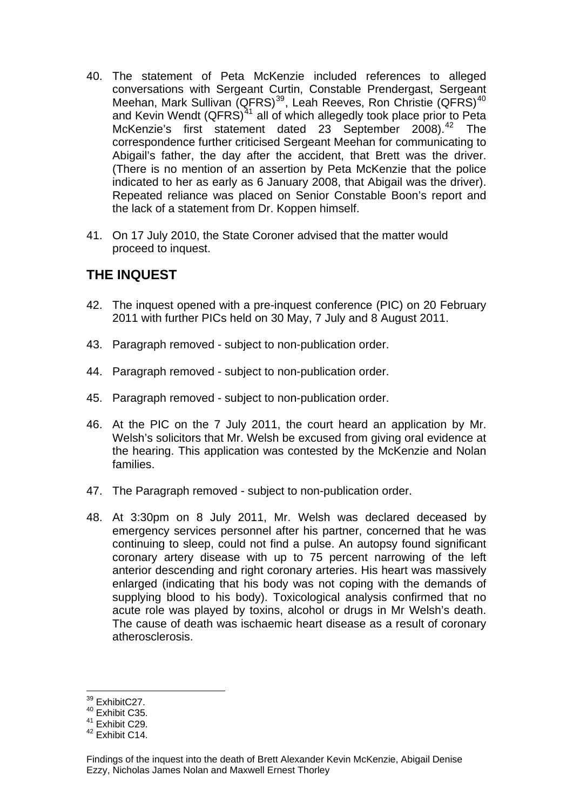- 40. The statement of Peta McKenzie included references to alleged conversations with Sergeant Curtin, Constable Prendergast, Sergeant Meehan, Mark Sullivan (QFRS)<sup>[39](#page-9-0)</sup>, Leah Reeves, Ron Christie (QFRS)<sup>[40](#page-9-1)</sup> and Kevin Wendt  $(QFRS)<sup>41</sup>$  $(QFRS)<sup>41</sup>$  $(QFRS)<sup>41</sup>$  all of which allegedly took place prior to Peta McKenzie's first statement dated 23 September 2008).<sup>[42](#page-9-3)</sup> The correspondence further criticised Sergeant Meehan for communicating to Abigail's father, the day after the accident, that Brett was the driver. (There is no mention of an assertion by Peta McKenzie that the police indicated to her as early as 6 January 2008, that Abigail was the driver). Repeated reliance was placed on Senior Constable Boon's report and the lack of a statement from Dr. Koppen himself.
- 41. On 17 July 2010, the State Coroner advised that the matter would proceed to inquest.

# **THE INQUEST**

- 42. The inquest opened with a pre-inquest conference (PIC) on 20 February 2011 with further PICs held on 30 May, 7 July and 8 August 2011.
- 43. Paragraph removed subject to non-publication order.
- 44. Paragraph removed subject to non-publication order.
- 45. Paragraph removed subject to non-publication order.
- 46. At the PIC on the 7 July 2011, the court heard an application by Mr. Welsh's solicitors that Mr. Welsh be excused from giving oral evidence at the hearing. This application was contested by the McKenzie and Nolan families.
- 47. The Paragraph removed subject to non-publication order.
- 48. At 3:30pm on 8 July 2011, Mr. Welsh was declared deceased by emergency services personnel after his partner, concerned that he was continuing to sleep, could not find a pulse. An autopsy found significant coronary artery disease with up to 75 percent narrowing of the left anterior descending and right coronary arteries. His heart was massively enlarged (indicating that his body was not coping with the demands of supplying blood to his body). Toxicological analysis confirmed that no acute role was played by toxins, alcohol or drugs in Mr Welsh's death. The cause of death was ischaemic heart disease as a result of coronary atherosclerosis.

 $39$  ExhibitC27.

<span id="page-9-1"></span><span id="page-9-0"></span><sup>40</sup> Exhibit C35.

<span id="page-9-2"></span><sup>41</sup> Exhibit C29.

<span id="page-9-3"></span> $42$  Exhibit C14.

Findings of the inquest into the death of Brett Alexander Kevin McKenzie, Abigail Denise Ezzy, Nicholas James Nolan and Maxwell Ernest Thorley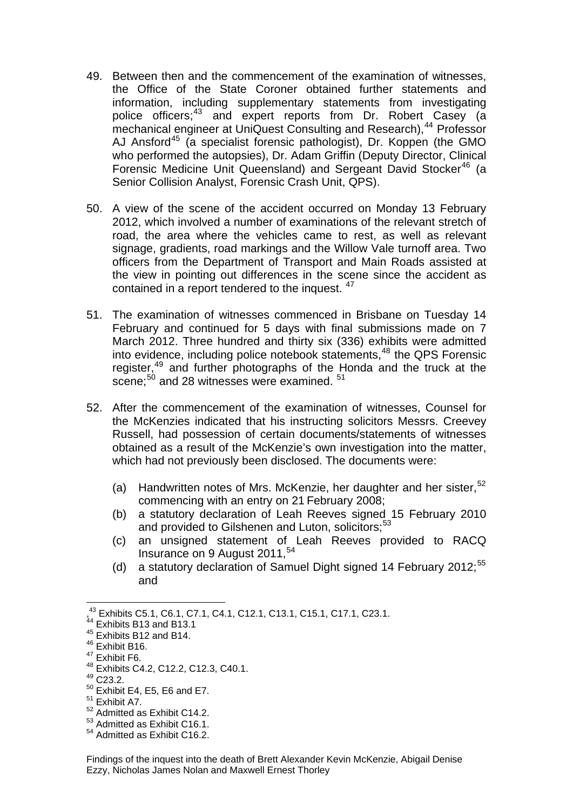- 49. Between then and the commencement of the examination of witnesses, the Office of the State Coroner obtained further statements and information, including supplementary statements from investigating police officers;<sup>[43](#page-10-0)</sup> and expert reports from Dr. Robert Casey (a mechanical engineer at UniQuest Consulting and Research),<sup>[44](#page-10-1)</sup> Professor AJ Ansford<sup>[45](#page-10-2)</sup> (a specialist forensic pathologist), Dr. Koppen (the GMO who performed the autopsies), Dr. Adam Griffin (Deputy Director, Clinical Forensic Medicine Unit Queensland) and Sergeant David Stocker<sup>[46](#page-10-3)</sup> (a Senior Collision Analyst, Forensic Crash Unit, QPS).
- 50. A view of the scene of the accident occurred on Monday 13 February 2012, which involved a number of examinations of the relevant stretch of road, the area where the vehicles came to rest, as well as relevant signage, gradients, road markings and the Willow Vale turnoff area. Two officers from the Department of Transport and Main Roads assisted at the view in pointing out differences in the scene since the accident as contained in a report tendered to the inquest. <sup>[47](#page-10-4)</sup>
- 51. The examination of witnesses commenced in Brisbane on Tuesday 14 February and continued for 5 days with final submissions made on 7 March 2012. Three hundred and thirty six (336) exhibits were admitted into evidence, including police notebook statements,  $48$  the QPS Forensic register,<sup>[49](#page-10-6)</sup> and further photographs of the Honda and the truck at the scene;<sup>[50](#page-10-7)</sup> and 28 witnesses were examined. <sup>[51](#page-10-8)</sup>
- 52. After the commencement of the examination of witnesses, Counsel for the McKenzies indicated that his instructing solicitors Messrs. Creevey Russell, had possession of certain documents/statements of witnesses obtained as a result of the McKenzie's own investigation into the matter, which had not previously been disclosed. The documents were:
	- (a) Handwritten notes of Mrs. McKenzie, her daughter and her sister,  $52$ commencing with an entry on 21 February 2008;
	- (b) a statutory declaration of Leah Reeves signed 15 February 2010 and provided to Gilshenen and Luton, solicitors;<sup>[53](#page-10-10)</sup>
	- (c) an unsigned statement of Leah Reeves provided to RACQ Insurance on 9 August 2011.<sup>[54](#page-10-11)</sup>
	- (d) a statutory declaration of Samuel Dight signed 14 February 2012;<sup>[55](#page-10-10)</sup> and

<sup>,</sup> 43 Exhibits C5.1, C6.1, C7.1, C4.1, C12.1, C13.1, C15.1, C17.1, C23.1.

<span id="page-10-1"></span><span id="page-10-0"></span><sup>&</sup>lt;sup>44</sup> Exhibits B13 and B13.1

<span id="page-10-2"></span> $45$  Exhibits B12 and B14.

<span id="page-10-3"></span><sup>&</sup>lt;sup>46</sup> Exhibit B16.

<span id="page-10-4"></span><sup>&</sup>lt;sup>47</sup> Exhibit F6.

<sup>48</sup> Exhibits C4.2, C12.2, C12.3, C40.1.

<span id="page-10-6"></span><span id="page-10-5"></span><sup>49</sup> C23.2.

<span id="page-10-7"></span><sup>50</sup> Exhibit E4, E5, E6 and E7.

<span id="page-10-8"></span><sup>51</sup> Exhibit A7.

<span id="page-10-9"></span><sup>52</sup> Admitted as Exhibit C14.2.

<span id="page-10-10"></span><sup>53</sup> Admitted as Exhibit C16.1.

<span id="page-10-11"></span><sup>54</sup> Admitted as Exhibit C16.2.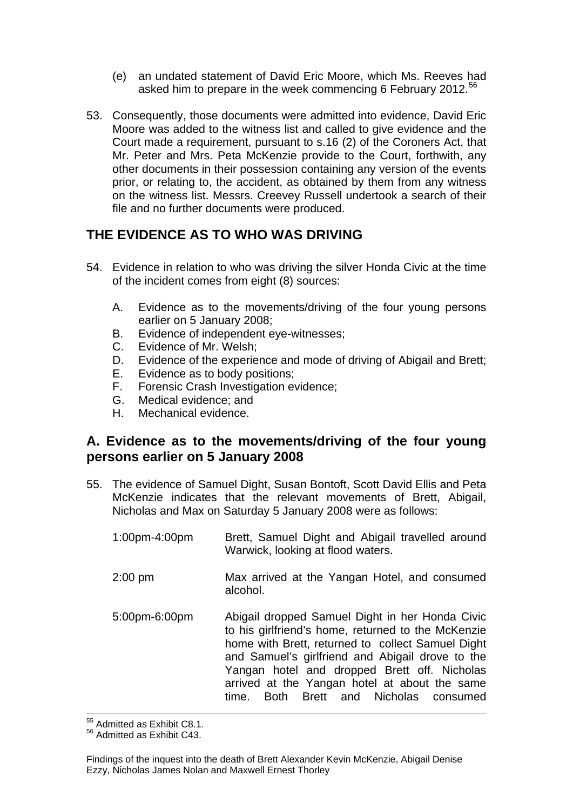- (e) an undated statement of David Eric Moore, which Ms. Reeves had asked him to prepare in the week commencing 6 February 2012.<sup>[56](#page-11-0)</sup>
- 53. Consequently, those documents were admitted into evidence, David Eric Moore was added to the witness list and called to give evidence and the Court made a requirement, pursuant to s.16 (2) of the Coroners Act, that Mr. Peter and Mrs. Peta McKenzie provide to the Court, forthwith, any other documents in their possession containing any version of the events prior, or relating to, the accident, as obtained by them from any witness on the witness list. Messrs. Creevey Russell undertook a search of their file and no further documents were produced.

## **THE EVIDENCE AS TO WHO WAS DRIVING**

- 54. Evidence in relation to who was driving the silver Honda Civic at the time of the incident comes from eight (8) sources:
	- A. Evidence as to the movements/driving of the four young persons earlier on 5 January 2008;
	- B. Evidence of independent eye-witnesses;
	- C. Evidence of Mr. Welsh;
	- D. Evidence of the experience and mode of driving of Abigail and Brett;
	- E. Evidence as to body positions;
	- F. Forensic Crash Investigation evidence;
	- G. Medical evidence; and
	- H. Mechanical evidence.

## **A. Evidence as to the movements/driving of the four young persons earlier on 5 January 2008**

- 55. The evidence of Samuel Dight, Susan Bontoft, Scott David Ellis and Peta McKenzie indicates that the relevant movements of Brett, Abigail, Nicholas and Max on Saturday 5 January 2008 were as follows:
	- 1:00pm-4:00pm Brett, Samuel Dight and Abigail travelled around Warwick, looking at flood waters. 2:00 pm Max arrived at the Yangan Hotel, and consumed alcohol. 5:00pm-6:00pm Abigail dropped Samuel Dight in her Honda Civic to his girlfriend's home, returned to the McKenzie home with Brett, returned to collect Samuel Dight and Samuel's girlfriend and Abigail drove to the Yangan hotel and dropped Brett off. Nicholas arrived at the Yangan hotel at about the same

time. Both Brett and Nicholas consumed

1 55 Admitted as Exhibit C8.1.

<span id="page-11-0"></span><sup>56</sup> Admitted as Exhibit C43.

Findings of the inquest into the death of Brett Alexander Kevin McKenzie, Abigail Denise Ezzy, Nicholas James Nolan and Maxwell Ernest Thorley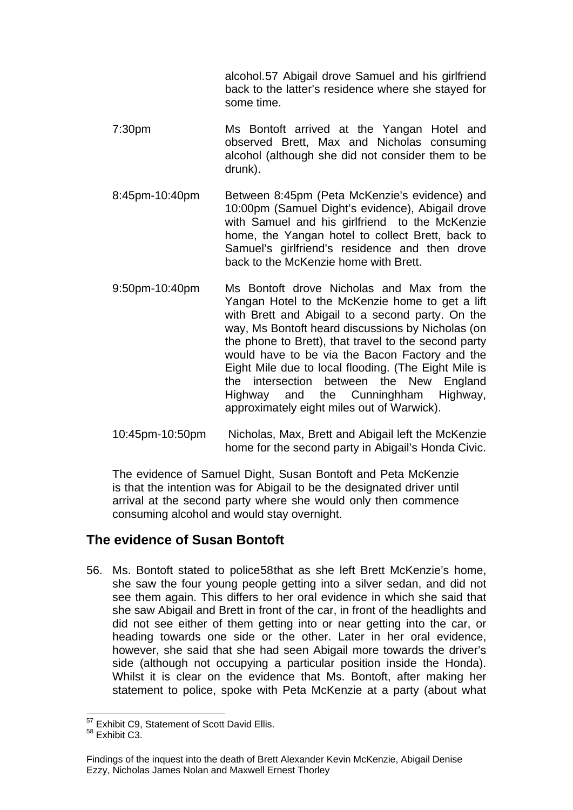alcohol.[57](#page-12-0) Abigail drove Samuel and his girlfriend back to the latter's residence where she stayed for some time.

- 7:30pm Ms Bontoft arrived at the Yangan Hotel and observed Brett, Max and Nicholas consuming alcohol (although she did not consider them to be drunk).
- 8:45pm-10:40pm Between 8:45pm (Peta McKenzie's evidence) and 10:00pm (Samuel Dight's evidence), Abigail drove with Samuel and his girlfriend to the McKenzie home, the Yangan hotel to collect Brett, back to Samuel's girlfriend's residence and then drove back to the McKenzie home with Brett.
- 9:50pm-10:40pm Ms Bontoft drove Nicholas and Max from the Yangan Hotel to the McKenzie home to get a lift with Brett and Abigail to a second party. On the way, Ms Bontoft heard discussions by Nicholas (on the phone to Brett), that travel to the second party would have to be via the Bacon Factory and the Eight Mile due to local flooding. (The Eight Mile is the intersection between the New England Highway and the Cunninghham Highway, approximately eight miles out of Warwick).
- 10:45pm-10:50pm Nicholas, Max, Brett and Abigail left the McKenzie home for the second party in Abigail's Honda Civic.

 The evidence of Samuel Dight, Susan Bontoft and Peta McKenzie is that the intention was for Abigail to be the designated driver until arrival at the second party where she would only then commence consuming alcohol and would stay overnight.

#### **The evidence of Susan Bontoft**

56. Ms. Bontoft stated to police[58](#page-12-1)that as she left Brett McKenzie's home, she saw the four young people getting into a silver sedan, and did not see them again. This differs to her oral evidence in which she said that she saw Abigail and Brett in front of the car, in front of the headlights and did not see either of them getting into or near getting into the car, or heading towards one side or the other. Later in her oral evidence, however, she said that she had seen Abigail more towards the driver's side (although not occupying a particular position inside the Honda). Whilst it is clear on the evidence that Ms. Bontoft, after making her statement to police, spoke with Peta McKenzie at a party (about what

l <sup>57</sup> Exhibit C9, Statement of Scott David Ellis.

<span id="page-12-1"></span><span id="page-12-0"></span> $58$  Exhibit C.3.

Findings of the inquest into the death of Brett Alexander Kevin McKenzie, Abigail Denise Ezzy, Nicholas James Nolan and Maxwell Ernest Thorley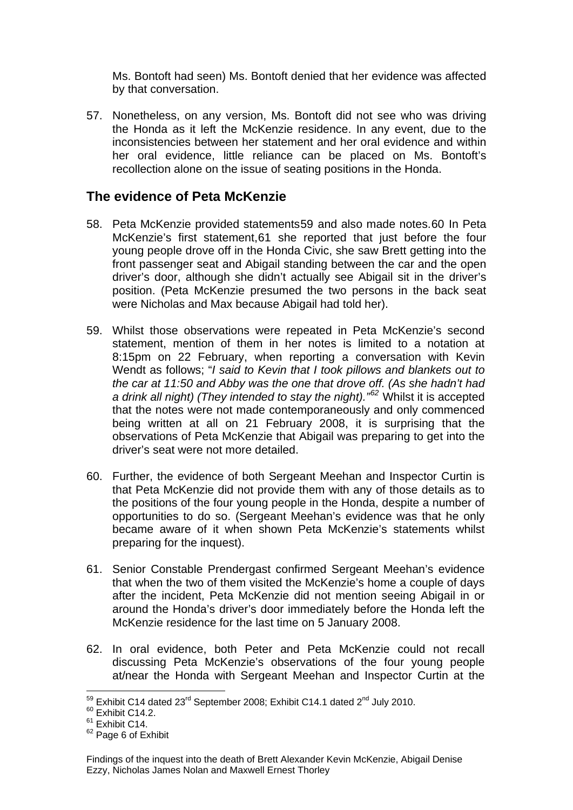Ms. Bontoft had seen) Ms. Bontoft denied that her evidence was affected by that conversation.

57. Nonetheless, on any version, Ms. Bontoft did not see who was driving the Honda as it left the McKenzie residence. In any event, due to the inconsistencies between her statement and her oral evidence and within her oral evidence, little reliance can be placed on Ms. Bontoft's recollection alone on the issue of seating positions in the Honda.

## **The evidence of Peta McKenzie**

- 58. Peta McKenzie provided statements[59](#page-13-0) and also made notes.[60](#page-13-1) In Peta McKenzie's first statement,[61](#page-13-2) she reported that just before the four young people drove off in the Honda Civic, she saw Brett getting into the front passenger seat and Abigail standing between the car and the open driver's door, although she didn't actually see Abigail sit in the driver's position. (Peta McKenzie presumed the two persons in the back seat were Nicholas and Max because Abigail had told her).
- 59. Whilst those observations were repeated in Peta McKenzie's second statement, mention of them in her notes is limited to a notation at 8:15pm on 22 February, when reporting a conversation with Kevin Wendt as follows; "*I said to Kevin that I took pillows and blankets out to the car at 11:50 and Abby was the one that drove off. (As she hadn't had a drink all night) (They intended to stay the night)."[62](#page-13-3)* Whilst it is accepted that the notes were not made contemporaneously and only commenced being written at all on 21 February 2008, it is surprising that the observations of Peta McKenzie that Abigail was preparing to get into the driver's seat were not more detailed.
- 60. Further, the evidence of both Sergeant Meehan and Inspector Curtin is that Peta McKenzie did not provide them with any of those details as to the positions of the four young people in the Honda, despite a number of opportunities to do so. (Sergeant Meehan's evidence was that he only became aware of it when shown Peta McKenzie's statements whilst preparing for the inquest).
- 61. Senior Constable Prendergast confirmed Sergeant Meehan's evidence that when the two of them visited the McKenzie's home a couple of days after the incident, Peta McKenzie did not mention seeing Abigail in or around the Honda's driver's door immediately before the Honda left the McKenzie residence for the last time on 5 January 2008.
- 62. In oral evidence, both Peter and Peta McKenzie could not recall discussing Peta McKenzie's observations of the four young people at/near the Honda with Sergeant Meehan and Inspector Curtin at the

<span id="page-13-0"></span><sup>&</sup>lt;sup>59</sup> Exhibit C14 dated 23<sup>rd</sup> September 2008; Exhibit C14.1 dated 2<sup>nd</sup> July 2010.<br><sup>60</sup> Exhibit C14.2.

<span id="page-13-1"></span> $^{60}$  Exhibit C14.2.<br><sup>61</sup> Exhibit C14.

<span id="page-13-3"></span><span id="page-13-2"></span> $62$  Page 6 of Exhibit

Findings of the inquest into the death of Brett Alexander Kevin McKenzie, Abigail Denise Ezzy, Nicholas James Nolan and Maxwell Ernest Thorley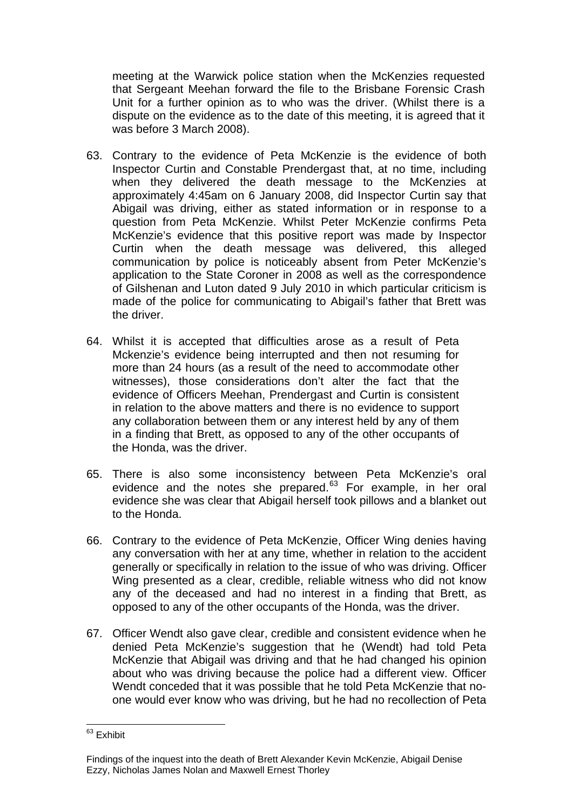meeting at the Warwick police station when the McKenzies requested that Sergeant Meehan forward the file to the Brisbane Forensic Crash Unit for a further opinion as to who was the driver. (Whilst there is a dispute on the evidence as to the date of this meeting, it is agreed that it was before 3 March 2008).

- 63. Contrary to the evidence of Peta McKenzie is the evidence of both Inspector Curtin and Constable Prendergast that, at no time, including when they delivered the death message to the McKenzies at approximately 4:45am on 6 January 2008, did Inspector Curtin say that Abigail was driving, either as stated information or in response to a question from Peta McKenzie. Whilst Peter McKenzie confirms Peta McKenzie's evidence that this positive report was made by Inspector Curtin when the death message was delivered, this alleged communication by police is noticeably absent from Peter McKenzie's application to the State Coroner in 2008 as well as the correspondence of Gilshenan and Luton dated 9 July 2010 in which particular criticism is made of the police for communicating to Abigail's father that Brett was the driver.
- 64. Whilst it is accepted that difficulties arose as a result of Peta Mckenzie's evidence being interrupted and then not resuming for more than 24 hours (as a result of the need to accommodate other witnesses), those considerations don't alter the fact that the evidence of Officers Meehan, Prendergast and Curtin is consistent in relation to the above matters and there is no evidence to support any collaboration between them or any interest held by any of them in a finding that Brett, as opposed to any of the other occupants of the Honda, was the driver.
- 65. There is also some inconsistency between Peta McKenzie's oral evidence and the notes she prepared.<sup>[63](#page-14-0)</sup> For example, in her oral evidence she was clear that Abigail herself took pillows and a blanket out to the Honda.
- 66. Contrary to the evidence of Peta McKenzie, Officer Wing denies having any conversation with her at any time, whether in relation to the accident generally or specifically in relation to the issue of who was driving. Officer Wing presented as a clear, credible, reliable witness who did not know any of the deceased and had no interest in a finding that Brett, as opposed to any of the other occupants of the Honda, was the driver.
- 67. Officer Wendt also gave clear, credible and consistent evidence when he denied Peta McKenzie's suggestion that he (Wendt) had told Peta McKenzie that Abigail was driving and that he had changed his opinion about who was driving because the police had a different view. Officer Wendt conceded that it was possible that he told Peta McKenzie that noone would ever know who was driving, but he had no recollection of Peta

<span id="page-14-0"></span>l <sup>63</sup> Exhibit

Findings of the inquest into the death of Brett Alexander Kevin McKenzie, Abigail Denise Ezzy, Nicholas James Nolan and Maxwell Ernest Thorley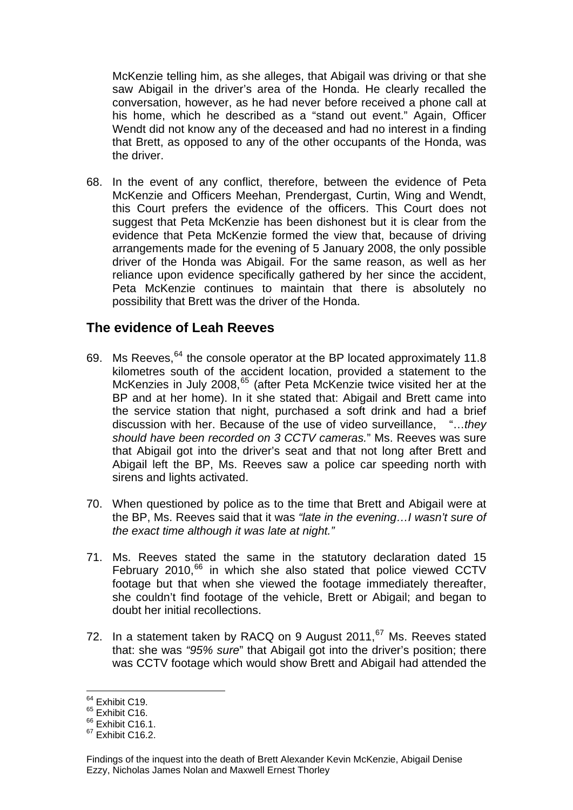McKenzie telling him, as she alleges, that Abigail was driving or that she saw Abigail in the driver's area of the Honda. He clearly recalled the conversation, however, as he had never before received a phone call at his home, which he described as a "stand out event." Again, Officer Wendt did not know any of the deceased and had no interest in a finding that Brett, as opposed to any of the other occupants of the Honda, was the driver.

68. In the event of any conflict, therefore, between the evidence of Peta McKenzie and Officers Meehan, Prendergast, Curtin, Wing and Wendt, this Court prefers the evidence of the officers. This Court does not suggest that Peta McKenzie has been dishonest but it is clear from the evidence that Peta McKenzie formed the view that, because of driving arrangements made for the evening of 5 January 2008, the only possible driver of the Honda was Abigail. For the same reason, as well as her reliance upon evidence specifically gathered by her since the accident, Peta McKenzie continues to maintain that there is absolutely no possibility that Brett was the driver of the Honda.

#### **The evidence of Leah Reeves**

- 69. Ms Reeves, <sup>[64](#page-15-0)</sup> the console operator at the BP located approximately 11.8 kilometres south of the accident location, provided a statement to the McKenzies in July 2008,<sup>[65](#page-15-1)</sup> (after Peta McKenzie twice visited her at the BP and at her home). In it she stated that: Abigail and Brett came into the service station that night, purchased a soft drink and had a brief discussion with her. Because of the use of video surveillance, "…*they should have been recorded on 3 CCTV cameras.*" Ms. Reeves was sure that Abigail got into the driver's seat and that not long after Brett and Abigail left the BP, Ms. Reeves saw a police car speeding north with sirens and lights activated.
- 70. When questioned by police as to the time that Brett and Abigail were at the BP, Ms. Reeves said that it was *"late in the evening…I wasn't sure of the exact time although it was late at night."*
- 71. Ms. Reeves stated the same in the statutory declaration dated 15 February 2010, $^{66}$  $^{66}$  $^{66}$  in which she also stated that police viewed CCTV footage but that when she viewed the footage immediately thereafter, she couldn't find footage of the vehicle, Brett or Abigail; and began to doubt her initial recollections.
- 72. In a statement taken by RACQ on 9 August 2011,<sup>[67](#page-15-3)</sup> Ms. Reeves stated that: she was *"95% sure*" that Abigail got into the driver's position; there was CCTV footage which would show Brett and Abigail had attended the

<span id="page-15-0"></span> $64$  Exhibit C19.

<span id="page-15-1"></span> $65$  Exhibit C16.

<span id="page-15-2"></span> $66$  Exhibit C16.1.

<span id="page-15-3"></span> $67$  Fxhibit C<sub>16.2</sub>

Findings of the inquest into the death of Brett Alexander Kevin McKenzie, Abigail Denise Ezzy, Nicholas James Nolan and Maxwell Ernest Thorley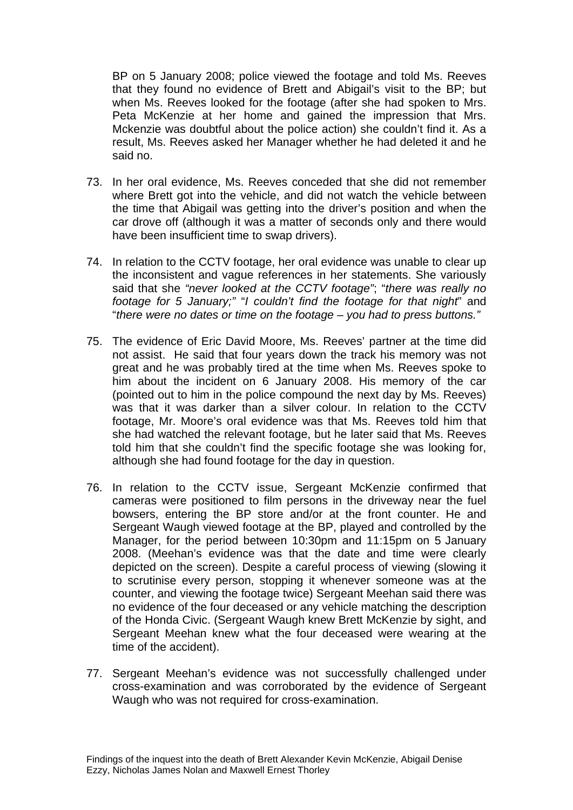BP on 5 January 2008; police viewed the footage and told Ms. Reeves that they found no evidence of Brett and Abigail's visit to the BP; but when Ms. Reeves looked for the footage (after she had spoken to Mrs. Peta McKenzie at her home and gained the impression that Mrs. Mckenzie was doubtful about the police action) she couldn't find it. As a result, Ms. Reeves asked her Manager whether he had deleted it and he said no.

- 73. In her oral evidence, Ms. Reeves conceded that she did not remember where Brett got into the vehicle, and did not watch the vehicle between the time that Abigail was getting into the driver's position and when the car drove off (although it was a matter of seconds only and there would have been insufficient time to swap drivers).
- 74. In relation to the CCTV footage, her oral evidence was unable to clear up the inconsistent and vague references in her statements. She variously said that she *"never looked at the CCTV footage"*; "*there was really no footage for 5 January;"* "*I couldn't find the footage for that night*" and "*there were no dates or time on the footage – you had to press buttons."*
- 75. The evidence of Eric David Moore, Ms. Reeves' partner at the time did not assist. He said that four years down the track his memory was not great and he was probably tired at the time when Ms. Reeves spoke to him about the incident on 6 January 2008. His memory of the car (pointed out to him in the police compound the next day by Ms. Reeves) was that it was darker than a silver colour. In relation to the CCTV footage, Mr. Moore's oral evidence was that Ms. Reeves told him that she had watched the relevant footage, but he later said that Ms. Reeves told him that she couldn't find the specific footage she was looking for, although she had found footage for the day in question.
- 76. In relation to the CCTV issue, Sergeant McKenzie confirmed that cameras were positioned to film persons in the driveway near the fuel bowsers, entering the BP store and/or at the front counter. He and Sergeant Waugh viewed footage at the BP, played and controlled by the Manager, for the period between 10:30pm and 11:15pm on 5 January 2008. (Meehan's evidence was that the date and time were clearly depicted on the screen). Despite a careful process of viewing (slowing it to scrutinise every person, stopping it whenever someone was at the counter, and viewing the footage twice) Sergeant Meehan said there was no evidence of the four deceased or any vehicle matching the description of the Honda Civic. (Sergeant Waugh knew Brett McKenzie by sight, and Sergeant Meehan knew what the four deceased were wearing at the time of the accident).
- 77. Sergeant Meehan's evidence was not successfully challenged under cross-examination and was corroborated by the evidence of Sergeant Waugh who was not required for cross-examination.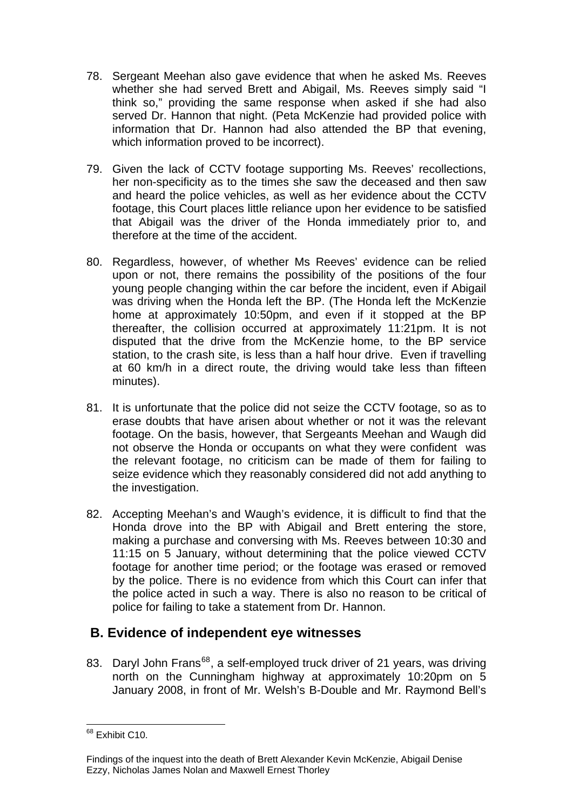- 78. Sergeant Meehan also gave evidence that when he asked Ms. Reeves whether she had served Brett and Abigail, Ms. Reeves simply said "I think so," providing the same response when asked if she had also served Dr. Hannon that night. (Peta McKenzie had provided police with information that Dr. Hannon had also attended the BP that evening, which information proved to be incorrect).
- 79. Given the lack of CCTV footage supporting Ms. Reeves' recollections, her non-specificity as to the times she saw the deceased and then saw and heard the police vehicles, as well as her evidence about the CCTV footage, this Court places little reliance upon her evidence to be satisfied that Abigail was the driver of the Honda immediately prior to, and therefore at the time of the accident.
- 80. Regardless, however, of whether Ms Reeves' evidence can be relied upon or not, there remains the possibility of the positions of the four young people changing within the car before the incident, even if Abigail was driving when the Honda left the BP. (The Honda left the McKenzie home at approximately 10:50pm, and even if it stopped at the BP thereafter, the collision occurred at approximately 11:21pm. It is not disputed that the drive from the McKenzie home, to the BP service station, to the crash site, is less than a half hour drive. Even if travelling at 60 km/h in a direct route, the driving would take less than fifteen minutes).
- 81. It is unfortunate that the police did not seize the CCTV footage, so as to erase doubts that have arisen about whether or not it was the relevant footage. On the basis, however, that Sergeants Meehan and Waugh did not observe the Honda or occupants on what they were confident was the relevant footage, no criticism can be made of them for failing to seize evidence which they reasonably considered did not add anything to the investigation.
- 82. Accepting Meehan's and Waugh's evidence, it is difficult to find that the Honda drove into the BP with Abigail and Brett entering the store, making a purchase and conversing with Ms. Reeves between 10:30 and 11:15 on 5 January, without determining that the police viewed CCTV footage for another time period; or the footage was erased or removed by the police. There is no evidence from which this Court can infer that the police acted in such a way. There is also no reason to be critical of police for failing to take a statement from Dr. Hannon.

## **B. Evidence of independent eye witnesses**

83. Daryl John Frans<sup>[68](#page-17-0)</sup>, a self-employed truck driver of 21 years, was driving north on the Cunningham highway at approximately 10:20pm on 5 January 2008, in front of Mr. Welsh's B-Double and Mr. Raymond Bell's

<span id="page-17-0"></span>l <sup>68</sup> Exhibit C10.

Findings of the inquest into the death of Brett Alexander Kevin McKenzie, Abigail Denise Ezzy, Nicholas James Nolan and Maxwell Ernest Thorley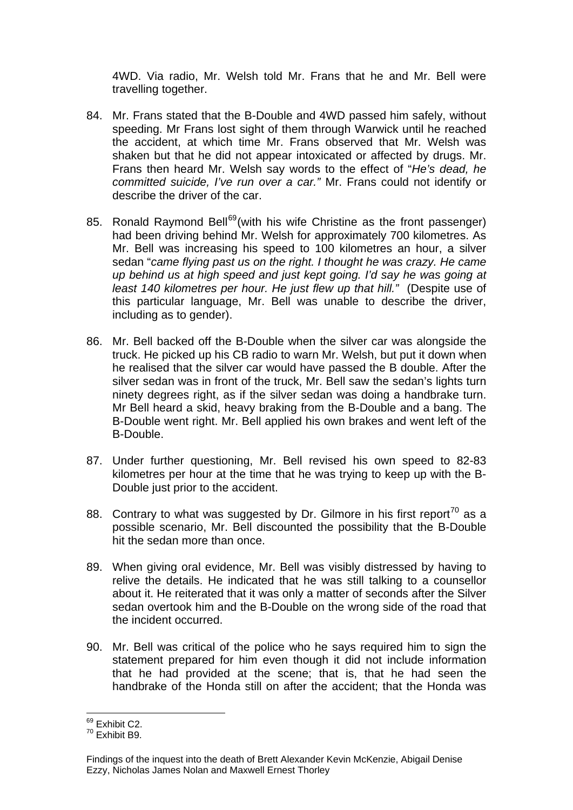4WD. Via radio, Mr. Welsh told Mr. Frans that he and Mr. Bell were travelling together.

- 84. Mr. Frans stated that the B-Double and 4WD passed him safely, without speeding. Mr Frans lost sight of them through Warwick until he reached the accident, at which time Mr. Frans observed that Mr. Welsh was shaken but that he did not appear intoxicated or affected by drugs. Mr. Frans then heard Mr. Welsh say words to the effect of "*He's dead, he committed suicide, I've run over a car."* Mr. Frans could not identify or describe the driver of the car.
- 85. Ronald Raymond Bell<sup>[69](#page-18-0)</sup> (with his wife Christine as the front passenger) had been driving behind Mr. Welsh for approximately 700 kilometres. As Mr. Bell was increasing his speed to 100 kilometres an hour, a silver sedan "*came flying past us on the right. I thought he was crazy. He came up behind us at high speed and just kept going. I'd say he was going at least 140 kilometres per hour. He just flew up that hill."* (Despite use of this particular language, Mr. Bell was unable to describe the driver, including as to gender).
- 86. Mr. Bell backed off the B-Double when the silver car was alongside the truck. He picked up his CB radio to warn Mr. Welsh, but put it down when he realised that the silver car would have passed the B double. After the silver sedan was in front of the truck, Mr. Bell saw the sedan's lights turn ninety degrees right, as if the silver sedan was doing a handbrake turn. Mr Bell heard a skid, heavy braking from the B-Double and a bang. The B-Double went right. Mr. Bell applied his own brakes and went left of the B-Double.
- 87. Under further questioning, Mr. Bell revised his own speed to 82-83 kilometres per hour at the time that he was trying to keep up with the B-Double just prior to the accident.
- 88. Contrary to what was suggested by Dr. Gilmore in his first report<sup>[70](#page-18-1)</sup> as a possible scenario, Mr. Bell discounted the possibility that the B-Double hit the sedan more than once.
- 89. When giving oral evidence, Mr. Bell was visibly distressed by having to relive the details. He indicated that he was still talking to a counsellor about it. He reiterated that it was only a matter of seconds after the Silver sedan overtook him and the B-Double on the wrong side of the road that the incident occurred.
- 90. Mr. Bell was critical of the police who he says required him to sign the statement prepared for him even though it did not include information that he had provided at the scene; that is, that he had seen the handbrake of the Honda still on after the accident; that the Honda was

l <sup>69</sup> Exhibit C2.

<span id="page-18-1"></span><span id="page-18-0"></span> $70$  Exhibit B9

Findings of the inquest into the death of Brett Alexander Kevin McKenzie, Abigail Denise Ezzy, Nicholas James Nolan and Maxwell Ernest Thorley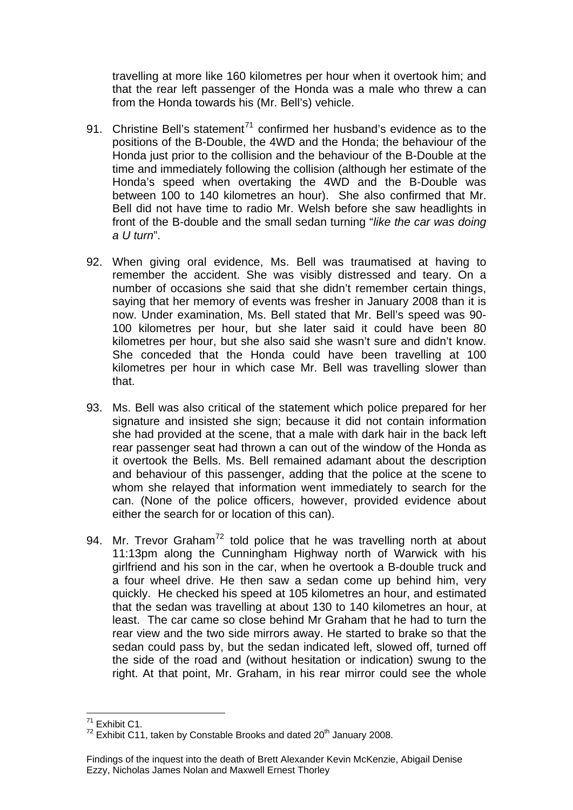travelling at more like 160 kilometres per hour when it overtook him; and that the rear left passenger of the Honda was a male who threw a can from the Honda towards his (Mr. Bell's) vehicle.

- 91. Christine Bell's statement<sup>[71](#page-19-0)</sup> confirmed her husband's evidence as to the positions of the B-Double, the 4WD and the Honda; the behaviour of the Honda just prior to the collision and the behaviour of the B-Double at the time and immediately following the collision (although her estimate of the Honda's speed when overtaking the 4WD and the B-Double was between 100 to 140 kilometres an hour). She also confirmed that Mr. Bell did not have time to radio Mr. Welsh before she saw headlights in front of the B-double and the small sedan turning "*like the car was doing a U turn*".
- 92. When giving oral evidence, Ms. Bell was traumatised at having to remember the accident. She was visibly distressed and teary. On a number of occasions she said that she didn't remember certain things, saying that her memory of events was fresher in January 2008 than it is now. Under examination, Ms. Bell stated that Mr. Bell's speed was 90- 100 kilometres per hour, but she later said it could have been 80 kilometres per hour, but she also said she wasn't sure and didn't know. She conceded that the Honda could have been travelling at 100 kilometres per hour in which case Mr. Bell was travelling slower than that.
- 93. Ms. Bell was also critical of the statement which police prepared for her signature and insisted she sign; because it did not contain information she had provided at the scene, that a male with dark hair in the back left rear passenger seat had thrown a can out of the window of the Honda as it overtook the Bells. Ms. Bell remained adamant about the description and behaviour of this passenger, adding that the police at the scene to whom she relayed that information went immediately to search for the can. (None of the police officers, however, provided evidence about either the search for or location of this can).
- 94. Mr. Trevor Graham<sup>[72](#page-19-1)</sup> told police that he was travelling north at about 11:13pm along the Cunningham Highway north of Warwick with his girlfriend and his son in the car, when he overtook a B-double truck and a four wheel drive. He then saw a sedan come up behind him, very quickly. He checked his speed at 105 kilometres an hour, and estimated that the sedan was travelling at about 130 to 140 kilometres an hour, at least. The car came so close behind Mr Graham that he had to turn the rear view and the two side mirrors away. He started to brake so that the sedan could pass by, but the sedan indicated left, slowed off, turned off the side of the road and (without hesitation or indication) swung to the right. At that point, Mr. Graham, in his rear mirror could see the whole

l  $71$  Exhibit C1.

<span id="page-19-1"></span><span id="page-19-0"></span> $72$  Exhibit C11, taken by Constable Brooks and dated  $20<sup>th</sup>$  January 2008.

Findings of the inquest into the death of Brett Alexander Kevin McKenzie, Abigail Denise Ezzy, Nicholas James Nolan and Maxwell Ernest Thorley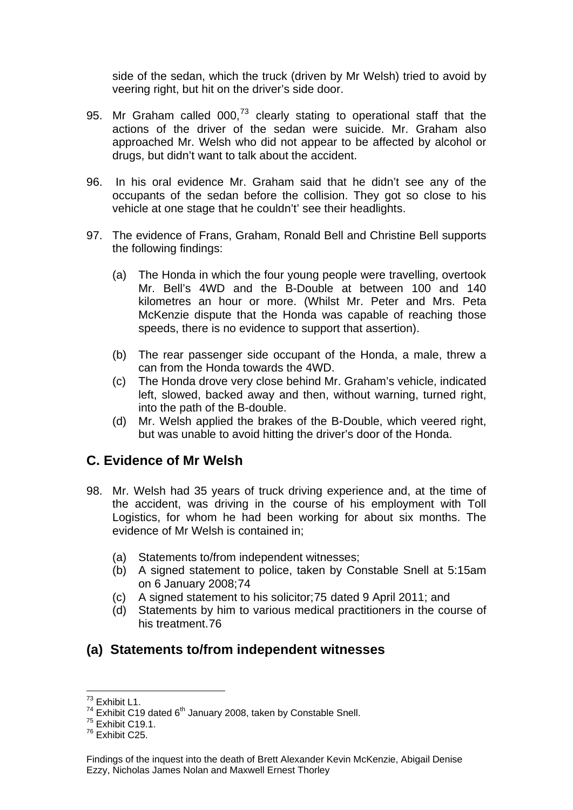side of the sedan, which the truck (driven by Mr Welsh) tried to avoid by veering right, but hit on the driver's side door.

- 95. Mr Graham called  $000$ , $^{73}$  $^{73}$  $^{73}$  clearly stating to operational staff that the actions of the driver of the sedan were suicide. Mr. Graham also approached Mr. Welsh who did not appear to be affected by alcohol or drugs, but didn't want to talk about the accident.
- 96. In his oral evidence Mr. Graham said that he didn't see any of the occupants of the sedan before the collision. They got so close to his vehicle at one stage that he couldn't' see their headlights.
- 97. The evidence of Frans, Graham, Ronald Bell and Christine Bell supports the following findings:
	- (a) The Honda in which the four young people were travelling, overtook Mr. Bell's 4WD and the B-Double at between 100 and 140 kilometres an hour or more. (Whilst Mr. Peter and Mrs. Peta McKenzie dispute that the Honda was capable of reaching those speeds, there is no evidence to support that assertion).
	- (b) The rear passenger side occupant of the Honda, a male, threw a can from the Honda towards the 4WD.
	- (c) The Honda drove very close behind Mr. Graham's vehicle, indicated left, slowed, backed away and then, without warning, turned right, into the path of the B-double.
	- (d) Mr. Welsh applied the brakes of the B-Double, which veered right, but was unable to avoid hitting the driver's door of the Honda.

#### **C. Evidence of Mr Welsh**

- 98. Mr. Welsh had 35 years of truck driving experience and, at the time of the accident, was driving in the course of his employment with Toll Logistics, for whom he had been working for about six months. The evidence of Mr Welsh is contained in;
	- (a) Statements to/from independent witnesses;
	- (b) A signed statement to police, taken by Constable Snell at 5:15am on 6 January 2008;[74](#page-20-1)
	- (c) A signed statement to his solicitor;[75](#page-20-2) dated 9 April 2011; and
	- (d) Statements by him to various medical practitioners in the course of his treatment.[76](#page-20-3)

## **(a) Statements to/from independent witnesses**

l  $73$  Exhibit L1.

<span id="page-20-1"></span><span id="page-20-0"></span><sup>&</sup>lt;sup>74</sup> Exhibit C19 dated  $6^{th}$  January 2008, taken by Constable Snell.<br><sup>75</sup> Exhibit C19.1.

<span id="page-20-3"></span><span id="page-20-2"></span> $76$  Exhibit C<sub>25</sub>

Findings of the inquest into the death of Brett Alexander Kevin McKenzie, Abigail Denise Ezzy, Nicholas James Nolan and Maxwell Ernest Thorley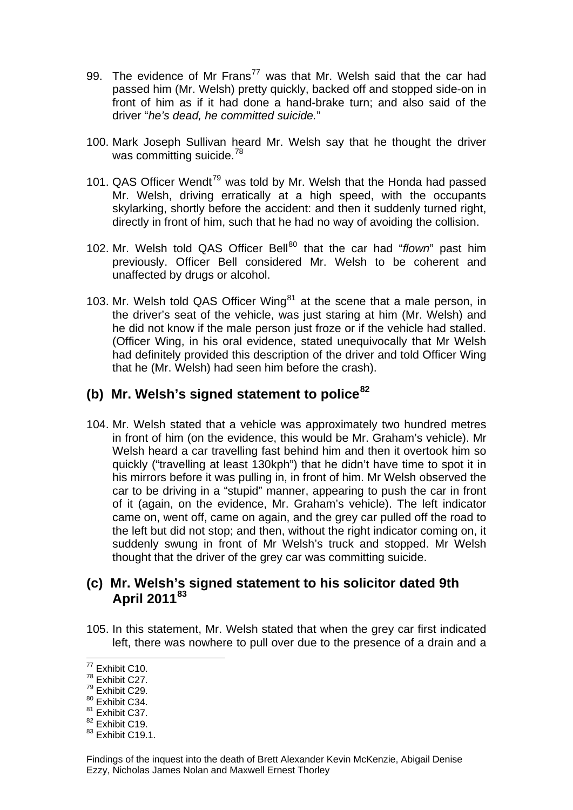- 99. The evidence of Mr Frans<sup>[77](#page-21-0)</sup> was that Mr. Welsh said that the car had passed him (Mr. Welsh) pretty quickly, backed off and stopped side-on in front of him as if it had done a hand-brake turn; and also said of the driver "*he's dead, he committed suicide.*"
- 100. Mark Joseph Sullivan heard Mr. Welsh say that he thought the driver was committing suicide.<sup>[78](#page-21-1)</sup>
- 101. QAS Officer Wendt<sup>[79](#page-21-2)</sup> was told by Mr. Welsh that the Honda had passed Mr. Welsh, driving erratically at a high speed, with the occupants skylarking, shortly before the accident: and then it suddenly turned right, directly in front of him, such that he had no way of avoiding the collision.
- 102. Mr. Welsh told QAS Officer Bell<sup>[80](#page-21-3)</sup> that the car had "*flown*" past him previously. Officer Bell considered Mr. Welsh to be coherent and unaffected by drugs or alcohol.
- 103. Mr. Welsh told QAS Officer Wing $^{81}$  $^{81}$  $^{81}$  at the scene that a male person, in the driver's seat of the vehicle, was just staring at him (Mr. Welsh) and he did not know if the male person just froze or if the vehicle had stalled. (Officer Wing, in his oral evidence, stated unequivocally that Mr Welsh had definitely provided this description of the driver and told Officer Wing that he (Mr. Welsh) had seen him before the crash).

# **(b) Mr. Welsh's signed statement to police[82](#page-21-5)**

104. Mr. Welsh stated that a vehicle was approximately two hundred metres in front of him (on the evidence, this would be Mr. Graham's vehicle). Mr Welsh heard a car travelling fast behind him and then it overtook him so quickly ("travelling at least 130kph") that he didn't have time to spot it in his mirrors before it was pulling in, in front of him. Mr Welsh observed the car to be driving in a "stupid" manner, appearing to push the car in front of it (again, on the evidence, Mr. Graham's vehicle). The left indicator came on, went off, came on again, and the grey car pulled off the road to the left but did not stop; and then, without the right indicator coming on, it suddenly swung in front of Mr Welsh's truck and stopped. Mr Welsh thought that the driver of the grey car was committing suicide.

#### **(c) Mr. Welsh's signed statement to his solicitor dated 9th April 2011[83](#page-21-6)**

105. In this statement, Mr. Welsh stated that when the grey car first indicated left, there was nowhere to pull over due to the presence of a drain and a

l  $77$  Exhibit C10.

<span id="page-21-1"></span><span id="page-21-0"></span><sup>78</sup> Exhibit C27.

<span id="page-21-2"></span><sup>79</sup> Exhibit C29.

<span id="page-21-3"></span><sup>80</sup> Exhibit C34.

<span id="page-21-4"></span><sup>&</sup>lt;sup>81</sup> Exhibit C37.

<span id="page-21-5"></span><sup>&</sup>lt;sup>82</sup> Exhibit C19.

<span id="page-21-6"></span> $83$  Exhibit C19.1.

Findings of the inquest into the death of Brett Alexander Kevin McKenzie, Abigail Denise Ezzy, Nicholas James Nolan and Maxwell Ernest Thorley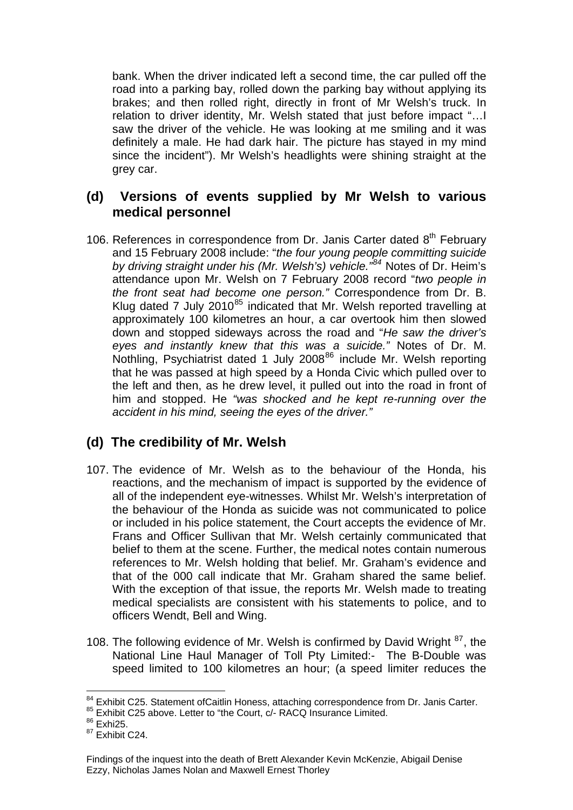bank. When the driver indicated left a second time, the car pulled off the road into a parking bay, rolled down the parking bay without applying its brakes; and then rolled right, directly in front of Mr Welsh's truck. In relation to driver identity, Mr. Welsh stated that just before impact "…I saw the driver of the vehicle. He was looking at me smiling and it was definitely a male. He had dark hair. The picture has stayed in my mind since the incident"). Mr Welsh's headlights were shining straight at the grey car.

## **(d) Versions of events supplied by Mr Welsh to various medical personnel**

106. References in correspondence from Dr. Janis Carter dated 8<sup>th</sup> February and 15 February 2008 include: "*the four young people committing suicide by driving straight under his (Mr. Welsh's) vehicle."[84](#page-22-0)* Notes of Dr. Heim's attendance upon Mr. Welsh on 7 February 2008 record "*two people in the front seat had become one person."* Correspondence from Dr. B. Klug dated 7 July 2010<sup>[85](#page-22-1)</sup> indicated that Mr. Welsh reported travelling at approximately 100 kilometres an hour, a car overtook him then slowed down and stopped sideways across the road and "*He saw the driver's eyes and instantly knew that this was a suicide."* Notes of Dr. M. Nothling, Psychiatrist dated 1 July 2008<sup>[86](#page-22-2)</sup> include Mr. Welsh reporting that he was passed at high speed by a Honda Civic which pulled over to the left and then, as he drew level, it pulled out into the road in front of him and stopped. He *"was shocked and he kept re-running over the accident in his mind, seeing the eyes of the driver."* 

## **(d) The credibility of Mr. Welsh**

- 107. The evidence of Mr. Welsh as to the behaviour of the Honda, his reactions, and the mechanism of impact is supported by the evidence of all of the independent eye-witnesses. Whilst Mr. Welsh's interpretation of the behaviour of the Honda as suicide was not communicated to police or included in his police statement, the Court accepts the evidence of Mr. Frans and Officer Sullivan that Mr. Welsh certainly communicated that belief to them at the scene. Further, the medical notes contain numerous references to Mr. Welsh holding that belief. Mr. Graham's evidence and that of the 000 call indicate that Mr. Graham shared the same belief. With the exception of that issue, the reports Mr. Welsh made to treating medical specialists are consistent with his statements to police, and to officers Wendt, Bell and Wing.
- 108. The following evidence of Mr. Welsh is confirmed by David Wright <sup>[87](#page-22-3)</sup>, the National Line Haul Manager of Toll Pty Limited:- The B-Double was speed limited to 100 kilometres an hour; (a speed limiter reduces the

<span id="page-22-0"></span><sup>&</sup>lt;sup>84</sup> Exhibit C25. Statement ofCaitlin Honess, attaching correspondence from Dr. Janis Carter.<br><sup>85</sup> Exhibit C25 above. Letter to "the Court, c/- RACQ Insurance Limited.

<span id="page-22-1"></span> $^{85}$  Exhibit C25 above. Letter to "the Court, c/- RACQ Insurance Limited.<br> $^{86}$  Exhi25.

<span id="page-22-2"></span>

<span id="page-22-3"></span> $87$  Exhibit C<sub>24</sub>

Findings of the inquest into the death of Brett Alexander Kevin McKenzie, Abigail Denise Ezzy, Nicholas James Nolan and Maxwell Ernest Thorley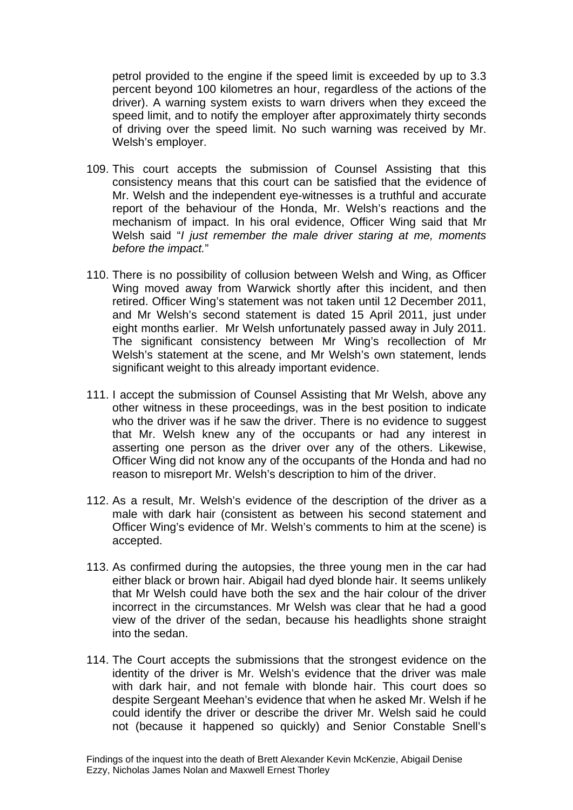petrol provided to the engine if the speed limit is exceeded by up to 3.3 percent beyond 100 kilometres an hour, regardless of the actions of the driver). A warning system exists to warn drivers when they exceed the speed limit, and to notify the employer after approximately thirty seconds of driving over the speed limit. No such warning was received by Mr. Welsh's employer.

- 109. This court accepts the submission of Counsel Assisting that this consistency means that this court can be satisfied that the evidence of Mr. Welsh and the independent eye-witnesses is a truthful and accurate report of the behaviour of the Honda, Mr. Welsh's reactions and the mechanism of impact. In his oral evidence, Officer Wing said that Mr Welsh said "*I just remember the male driver staring at me, moments before the impact.*"
- 110. There is no possibility of collusion between Welsh and Wing, as Officer Wing moved away from Warwick shortly after this incident, and then retired. Officer Wing's statement was not taken until 12 December 2011, and Mr Welsh's second statement is dated 15 April 2011, just under eight months earlier. Mr Welsh unfortunately passed away in July 2011. The significant consistency between Mr Wing's recollection of Mr Welsh's statement at the scene, and Mr Welsh's own statement, lends significant weight to this already important evidence.
- 111. I accept the submission of Counsel Assisting that Mr Welsh, above any other witness in these proceedings, was in the best position to indicate who the driver was if he saw the driver. There is no evidence to suggest that Mr. Welsh knew any of the occupants or had any interest in asserting one person as the driver over any of the others. Likewise, Officer Wing did not know any of the occupants of the Honda and had no reason to misreport Mr. Welsh's description to him of the driver.
- 112. As a result, Mr. Welsh's evidence of the description of the driver as a male with dark hair (consistent as between his second statement and Officer Wing's evidence of Mr. Welsh's comments to him at the scene) is accepted.
- 113. As confirmed during the autopsies, the three young men in the car had either black or brown hair. Abigail had dyed blonde hair. It seems unlikely that Mr Welsh could have both the sex and the hair colour of the driver incorrect in the circumstances. Mr Welsh was clear that he had a good view of the driver of the sedan, because his headlights shone straight into the sedan.
- 114. The Court accepts the submissions that the strongest evidence on the identity of the driver is Mr. Welsh's evidence that the driver was male with dark hair, and not female with blonde hair. This court does so despite Sergeant Meehan's evidence that when he asked Mr. Welsh if he could identify the driver or describe the driver Mr. Welsh said he could not (because it happened so quickly) and Senior Constable Snell's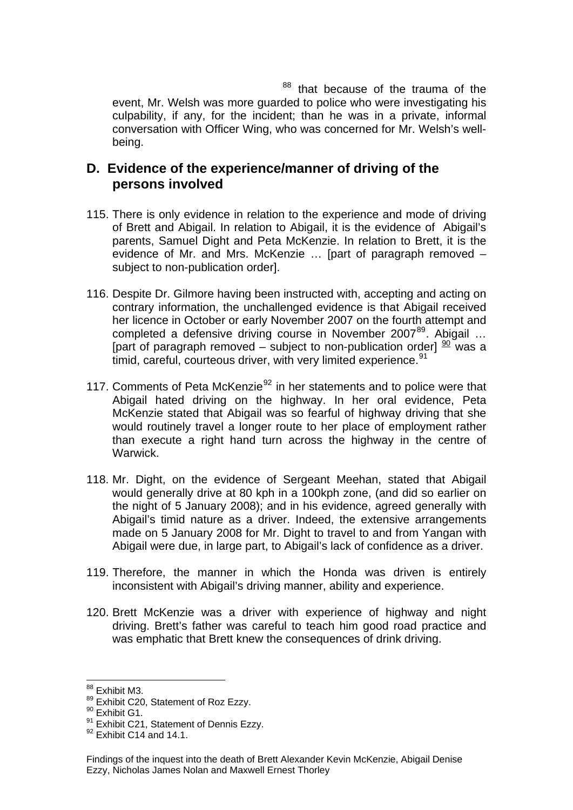<sup>88</sup> that because of the trauma of the event, Mr. Welsh was more guarded to police who were investigating his culpability, if any, for the incident; than he was in a private, informal conversation with Officer Wing, who was concerned for Mr. Welsh's wellbeing.

#### **D. Evidence of the experience/manner of driving of the persons involved**

- 115. There is only evidence in relation to the experience and mode of driving of Brett and Abigail. In relation to Abigail, it is the evidence of Abigail's parents, Samuel Dight and Peta McKenzie. In relation to Brett, it is the evidence of Mr. and Mrs. McKenzie … [part of paragraph removed – subject to non-publication order].
- 116. Despite Dr. Gilmore having been instructed with, accepting and acting on contrary information, the unchallenged evidence is that Abigail received her licence in October or early November 2007 on the fourth attempt and completed a defensive driving course in November 2007<sup>[89](#page-24-0)</sup>. Abigail ... [part of paragraph removed – subject to non-publication order]  $\frac{90}{20}$  $\frac{90}{20}$  $\frac{90}{20}$  was a timid, careful, courteous driver, with very limited experience.<sup>[91](#page-24-2)</sup>
- 117. Comments of Peta McKenzie $92$  in her statements and to police were that Abigail hated driving on the highway. In her oral evidence, Peta McKenzie stated that Abigail was so fearful of highway driving that she would routinely travel a longer route to her place of employment rather than execute a right hand turn across the highway in the centre of Warwick.
- 118. Mr. Dight, on the evidence of Sergeant Meehan, stated that Abigail would generally drive at 80 kph in a 100kph zone, (and did so earlier on the night of 5 January 2008); and in his evidence, agreed generally with Abigail's timid nature as a driver. Indeed, the extensive arrangements made on 5 January 2008 for Mr. Dight to travel to and from Yangan with Abigail were due, in large part, to Abigail's lack of confidence as a driver.
- 119. Therefore, the manner in which the Honda was driven is entirely inconsistent with Abigail's driving manner, ability and experience.
- 120. Brett McKenzie was a driver with experience of highway and night driving. Brett's father was careful to teach him good road practice and was emphatic that Brett knew the consequences of drink driving.

<sup>&</sup>lt;sup>88</sup> Exhibit M3.

<span id="page-24-0"></span> $89$  Exhibit C20, Statement of Roz Ezzy.<br> $80$  Exhibit G1.

<span id="page-24-2"></span><span id="page-24-1"></span> $91$  Exhibit C21, Statement of Dennis Ezzy.<br> $92$  Exhibit C14 and 14.1.

<span id="page-24-3"></span>

Findings of the inquest into the death of Brett Alexander Kevin McKenzie, Abigail Denise Ezzy, Nicholas James Nolan and Maxwell Ernest Thorley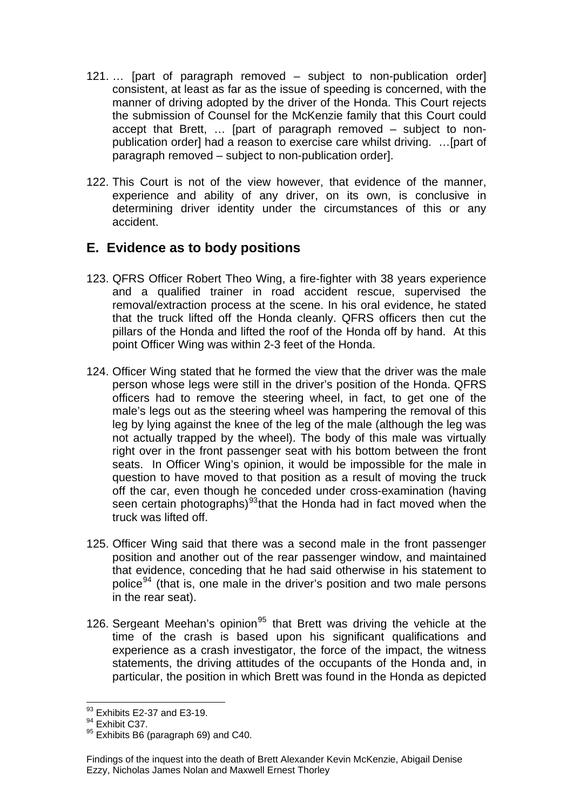- 121. … [part of paragraph removed subject to non-publication order] consistent, at least as far as the issue of speeding is concerned, with the manner of driving adopted by the driver of the Honda. This Court rejects the submission of Counsel for the McKenzie family that this Court could accept that Brett, … [part of paragraph removed – subject to nonpublication order] had a reason to exercise care whilst driving. …[part of paragraph removed – subject to non-publication order].
- 122. This Court is not of the view however, that evidence of the manner, experience and ability of any driver, on its own, is conclusive in determining driver identity under the circumstances of this or any accident.

## **E. Evidence as to body positions**

- 123. QFRS Officer Robert Theo Wing, a fire-fighter with 38 years experience and a qualified trainer in road accident rescue, supervised the removal/extraction process at the scene. In his oral evidence, he stated that the truck lifted off the Honda cleanly. QFRS officers then cut the pillars of the Honda and lifted the roof of the Honda off by hand. At this point Officer Wing was within 2-3 feet of the Honda.
- 124. Officer Wing stated that he formed the view that the driver was the male person whose legs were still in the driver's position of the Honda. QFRS officers had to remove the steering wheel, in fact, to get one of the male's legs out as the steering wheel was hampering the removal of this leg by lying against the knee of the leg of the male (although the leg was not actually trapped by the wheel). The body of this male was virtually right over in the front passenger seat with his bottom between the front seats. In Officer Wing's opinion, it would be impossible for the male in question to have moved to that position as a result of moving the truck off the car, even though he conceded under cross-examination (having seen certain photographs)<sup>[93](#page-25-0)</sup>that the Honda had in fact moved when the truck was lifted off.
- 125. Officer Wing said that there was a second male in the front passenger position and another out of the rear passenger window, and maintained that evidence, conceding that he had said otherwise in his statement to police<sup>[94](#page-25-1)</sup> (that is, one male in the driver's position and two male persons in the rear seat).
- 126. Sergeant Meehan's opinion<sup>[95](#page-25-2)</sup> that Brett was driving the vehicle at the time of the crash is based upon his significant qualifications and experience as a crash investigator, the force of the impact, the witness statements, the driving attitudes of the occupants of the Honda and, in particular, the position in which Brett was found in the Honda as depicted

l  $93$  Exhibits E2-37 and E3-19.

<span id="page-25-1"></span><span id="page-25-0"></span><sup>&</sup>lt;sup>94</sup> Exhibit C37.

<span id="page-25-2"></span><sup>&</sup>lt;sup>95</sup> Exhibits B6 (paragraph 69) and C40.

Findings of the inquest into the death of Brett Alexander Kevin McKenzie, Abigail Denise Ezzy, Nicholas James Nolan and Maxwell Ernest Thorley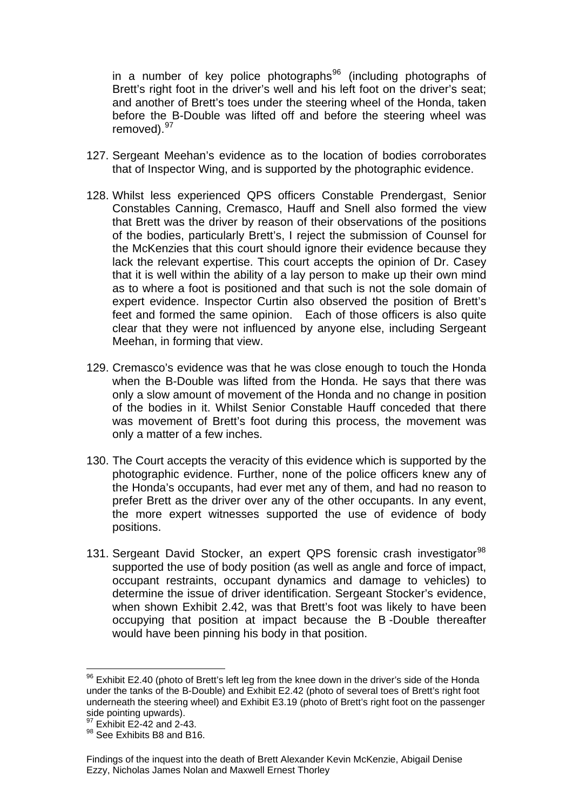in a number of key police photographs<sup>96</sup> (including photographs of Brett's right foot in the driver's well and his left foot on the driver's seat; and another of Brett's toes under the steering wheel of the Honda, taken before the B-Double was lifted off and before the steering wheel was removed). 97

- 127. Sergeant Meehan's evidence as to the location of bodies corroborates that of Inspector Wing, and is supported by the photographic evidence.
- 128. Whilst less experienced QPS officers Constable Prendergast, Senior Constables Canning, Cremasco, Hauff and Snell also formed the view that Brett was the driver by reason of their observations of the positions of the bodies, particularly Brett's, I reject the submission of Counsel for the McKenzies that this court should ignore their evidence because they lack the relevant expertise. This court accepts the opinion of Dr. Casey that it is well within the ability of a lay person to make up their own mind as to where a foot is positioned and that such is not the sole domain of expert evidence. Inspector Curtin also observed the position of Brett's feet and formed the same opinion. Each of those officers is also quite clear that they were not influenced by anyone else, including Sergeant Meehan, in forming that view.
- 129. Cremasco's evidence was that he was close enough to touch the Honda when the B-Double was lifted from the Honda. He says that there was only a slow amount of movement of the Honda and no change in position of the bodies in it. Whilst Senior Constable Hauff conceded that there was movement of Brett's foot during this process, the movement was only a matter of a few inches.
- 130. The Court accepts the veracity of this evidence which is supported by the photographic evidence. Further, none of the police officers knew any of the Honda's occupants, had ever met any of them, and had no reason to prefer Brett as the driver over any of the other occupants. In any event, the more expert witnesses supported the use of evidence of body positions.
- 131. Sergeant David Stocker, an expert QPS forensic crash investigator<sup>[98](#page-26-0)</sup> supported the use of body position (as well as angle and force of impact, occupant restraints, occupant dynamics and damage to vehicles) to determine the issue of driver identification. Sergeant Stocker's evidence, when shown Exhibit 2.42, was that Brett's foot was likely to have been occupying that position at impact because the B -Double thereafter would have been pinning his body in that position.

 $96$  Exhibit E2.40 (photo of Brett's left leg from the knee down in the driver's side of the Honda under the tanks of the B-Double) and Exhibit E2.42 (photo of several toes of Brett's right foot underneath the steering wheel) and Exhibit E3.19 (photo of Brett's right foot on the passenger side pointing upwards).

 $\frac{97}{97}$  Exhibit E2-42 and 2-43.

<span id="page-26-0"></span><sup>98</sup> See Exhibits B8 and B16.

Findings of the inquest into the death of Brett Alexander Kevin McKenzie, Abigail Denise Ezzy, Nicholas James Nolan and Maxwell Ernest Thorley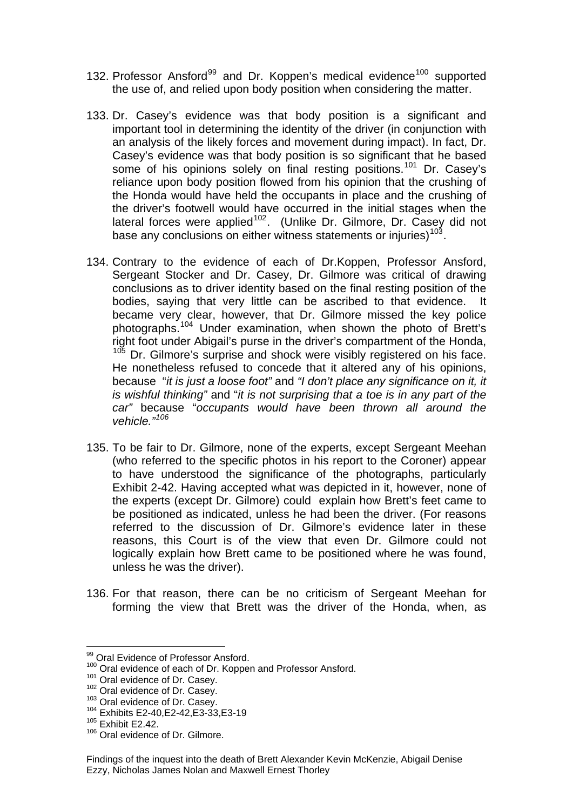- 132. Professor Ansford<sup>[99](#page-27-0)</sup> and Dr. Koppen's medical evidence<sup>[100](#page-27-1)</sup> supported the use of, and relied upon body position when considering the matter.
- 133. Dr. Casey's evidence was that body position is a significant and important tool in determining the identity of the driver (in conjunction with an analysis of the likely forces and movement during impact). In fact, Dr. Casey's evidence was that body position is so significant that he based some of his opinions solely on final resting positions.<sup>[101](#page-27-2)</sup> Dr. Casey's reliance upon body position flowed from his opinion that the crushing of the Honda would have held the occupants in place and the crushing of the driver's footwell would have occurred in the initial stages when the lateral forces were applied<sup>[102](#page-27-3)</sup>. (Unlike Dr. Gilmore, Dr. Casey did not base any conclusions on either witness statements or injuries)<sup>[103](#page-27-4)</sup>.
- 134. Contrary to the evidence of each of Dr.Koppen, Professor Ansford, Sergeant Stocker and Dr. Casey, Dr. Gilmore was critical of drawing conclusions as to driver identity based on the final resting position of the bodies, saying that very little can be ascribed to that evidence. It became very clear, however, that Dr. Gilmore missed the key police photographs.<sup>[104](#page-27-5)</sup> Under examination, when shown the photo of Brett's right foot under Abigail's purse in the driver's compartment of the Honda, [105](#page-27-6) Dr. Gilmore's surprise and shock were visibly registered on his face. He nonetheless refused to concede that it altered any of his opinions, because "*it is just a loose foot"* and *"I don't place any significance on it, it is wishful thinking"* and "*it is not surprising that a toe is in any part of the car"* because "*occupants would have been thrown all around the vehicle."[106](#page-27-7)*
- 135. To be fair to Dr. Gilmore, none of the experts, except Sergeant Meehan (who referred to the specific photos in his report to the Coroner) appear to have understood the significance of the photographs, particularly Exhibit 2-42. Having accepted what was depicted in it, however, none of the experts (except Dr. Gilmore) could explain how Brett's feet came to be positioned as indicated, unless he had been the driver. (For reasons referred to the discussion of Dr. Gilmore's evidence later in these reasons, this Court is of the view that even Dr. Gilmore could not logically explain how Brett came to be positioned where he was found, unless he was the driver).
- 136. For that reason, there can be no criticism of Sergeant Meehan for forming the view that Brett was the driver of the Honda, when, as

 $\overline{a}$ 

<span id="page-27-0"></span><sup>99</sup> Oral Evidence of Professor Ansford.

<span id="page-27-2"></span><span id="page-27-1"></span><sup>&</sup>lt;sup>100</sup> Oral evidence of each of Dr. Koppen and Professor Ansford.<br><sup>101</sup> Oral evidence of Dr. Casey.<br><sup>102</sup> Oral evidence of Dr. Casey.<br><sup>103</sup> Oral evidence of Dr. Casey.<br><sup>104</sup> Exhibits E2-40,E2-42,E3-33,E3-19

<span id="page-27-4"></span><span id="page-27-3"></span>

<span id="page-27-5"></span>

<span id="page-27-6"></span><sup>105</sup> Exhibit E2.42.

<span id="page-27-7"></span><sup>&</sup>lt;sup>106</sup> Oral evidence of Dr. Gilmore.

Findings of the inquest into the death of Brett Alexander Kevin McKenzie, Abigail Denise Ezzy, Nicholas James Nolan and Maxwell Ernest Thorley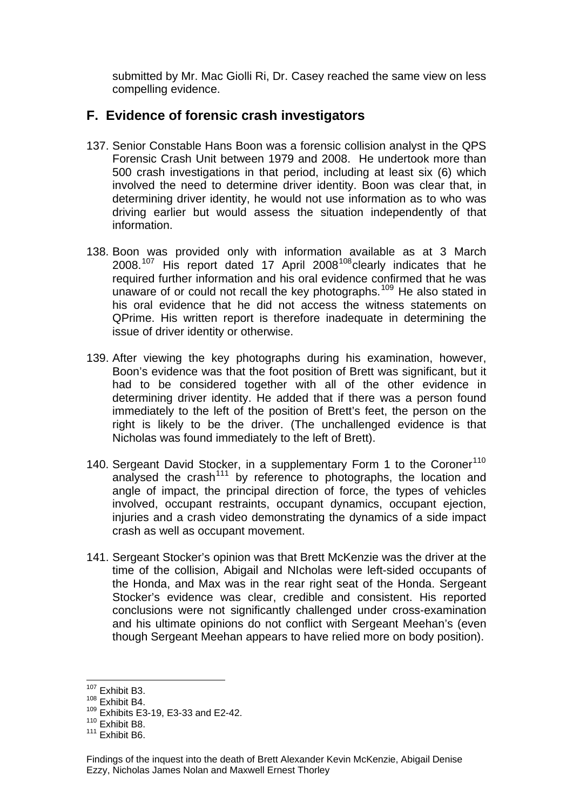submitted by Mr. Mac Giolli Ri, Dr. Casey reached the same view on less compelling evidence.

#### **F. Evidence of forensic crash investigators**

- 137. Senior Constable Hans Boon was a forensic collision analyst in the QPS Forensic Crash Unit between 1979 and 2008. He undertook more than 500 crash investigations in that period, including at least six (6) which involved the need to determine driver identity. Boon was clear that, in determining driver identity, he would not use information as to who was driving earlier but would assess the situation independently of that information.
- 138. Boon was provided only with information available as at 3 March  $2008.<sup>107</sup>$  $2008.<sup>107</sup>$  $2008.<sup>107</sup>$  His report dated 17 April  $2008<sup>108</sup>$  $2008<sup>108</sup>$  $2008<sup>108</sup>$ clearly indicates that he required further information and his oral evidence confirmed that he was unaware of or could not recall the key photographs.<sup>[109](#page-28-2)</sup> He also stated in his oral evidence that he did not access the witness statements on QPrime. His written report is therefore inadequate in determining the issue of driver identity or otherwise.
- 139. After viewing the key photographs during his examination, however, Boon's evidence was that the foot position of Brett was significant, but it had to be considered together with all of the other evidence in determining driver identity. He added that if there was a person found immediately to the left of the position of Brett's feet, the person on the right is likely to be the driver. (The unchallenged evidence is that Nicholas was found immediately to the left of Brett).
- 140. Sergeant David Stocker, in a supplementary Form 1 to the Coroner<sup>[110](#page-28-3)</sup> analysed the crash<sup>[111](#page-28-4)</sup> by reference to photographs, the location and angle of impact, the principal direction of force, the types of vehicles involved, occupant restraints, occupant dynamics, occupant ejection, injuries and a crash video demonstrating the dynamics of a side impact crash as well as occupant movement.
- 141. Sergeant Stocker's opinion was that Brett McKenzie was the driver at the time of the collision, Abigail and NIcholas were left-sided occupants of the Honda, and Max was in the rear right seat of the Honda. Sergeant Stocker's evidence was clear, credible and consistent. His reported conclusions were not significantly challenged under cross-examination and his ultimate opinions do not conflict with Sergeant Meehan's (even though Sergeant Meehan appears to have relied more on body position).

l <sup>107</sup> Exhibit B3.

<span id="page-28-1"></span><span id="page-28-0"></span><sup>108</sup> Exhibit B4.

<sup>109</sup> Exhibits E3-19, E3-33 and E2-42.

<span id="page-28-3"></span><span id="page-28-2"></span> $110$  Exhibit B8.

<span id="page-28-4"></span> $111$  Exhibit B<sub>6</sub>.

Findings of the inquest into the death of Brett Alexander Kevin McKenzie, Abigail Denise Ezzy, Nicholas James Nolan and Maxwell Ernest Thorley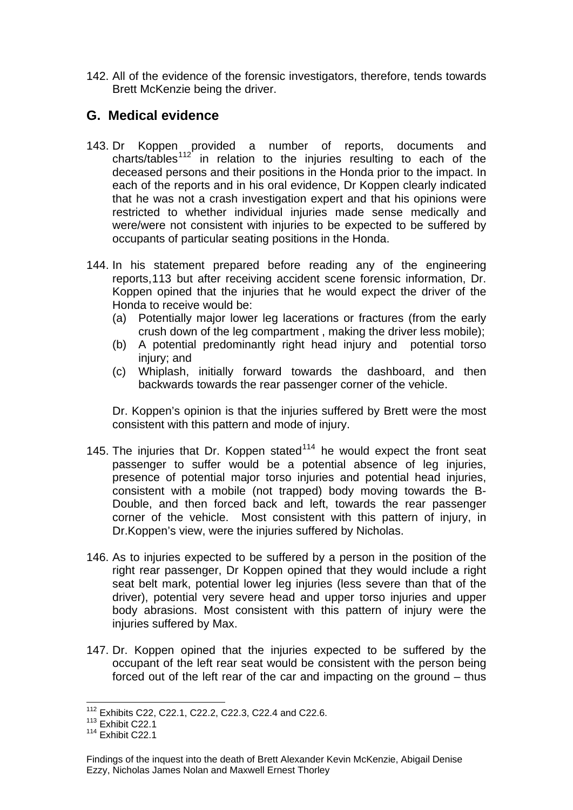142. All of the evidence of the forensic investigators, therefore, tends towards Brett McKenzie being the driver.

#### **G. Medical evidence**

- 143. Dr Koppen provided a number of reports, documents and charts/tables<sup>[112](#page-29-0)</sup> in relation to the injuries resulting to each of the deceased persons and their positions in the Honda prior to the impact. In each of the reports and in his oral evidence, Dr Koppen clearly indicated that he was not a crash investigation expert and that his opinions were restricted to whether individual injuries made sense medically and were/were not consistent with injuries to be expected to be suffered by occupants of particular seating positions in the Honda.
- 144. In his statement prepared before reading any of the engineering reports,[113](#page-29-1) but after receiving accident scene forensic information, Dr. Koppen opined that the injuries that he would expect the driver of the Honda to receive would be:
	- (a) Potentially major lower leg lacerations or fractures (from the early crush down of the leg compartment , making the driver less mobile);
	- (b) A potential predominantly right head injury and potential torso injury; and
	- (c) Whiplash, initially forward towards the dashboard, and then backwards towards the rear passenger corner of the vehicle.

Dr. Koppen's opinion is that the injuries suffered by Brett were the most consistent with this pattern and mode of injury.

- 145. The injuries that Dr. Koppen stated $114$  he would expect the front seat passenger to suffer would be a potential absence of leg injuries, presence of potential major torso injuries and potential head injuries, consistent with a mobile (not trapped) body moving towards the B-Double, and then forced back and left, towards the rear passenger corner of the vehicle. Most consistent with this pattern of injury, in Dr.Koppen's view, were the injuries suffered by Nicholas.
- 146. As to injuries expected to be suffered by a person in the position of the right rear passenger, Dr Koppen opined that they would include a right seat belt mark, potential lower leg injuries (less severe than that of the driver), potential very severe head and upper torso injuries and upper body abrasions. Most consistent with this pattern of injury were the injuries suffered by Max.
- 147. Dr. Koppen opined that the injuries expected to be suffered by the occupant of the left rear seat would be consistent with the person being forced out of the left rear of the car and impacting on the ground – thus

<sup>112</sup> Exhibits C22, C22.1, C22.2, C22.3, C22.4 and C22.6.

<span id="page-29-1"></span><span id="page-29-0"></span><sup>113</sup> Exhibit C22.1

<span id="page-29-2"></span> $114$  Exhibit C<sub>22.1</sub>

Findings of the inquest into the death of Brett Alexander Kevin McKenzie, Abigail Denise Ezzy, Nicholas James Nolan and Maxwell Ernest Thorley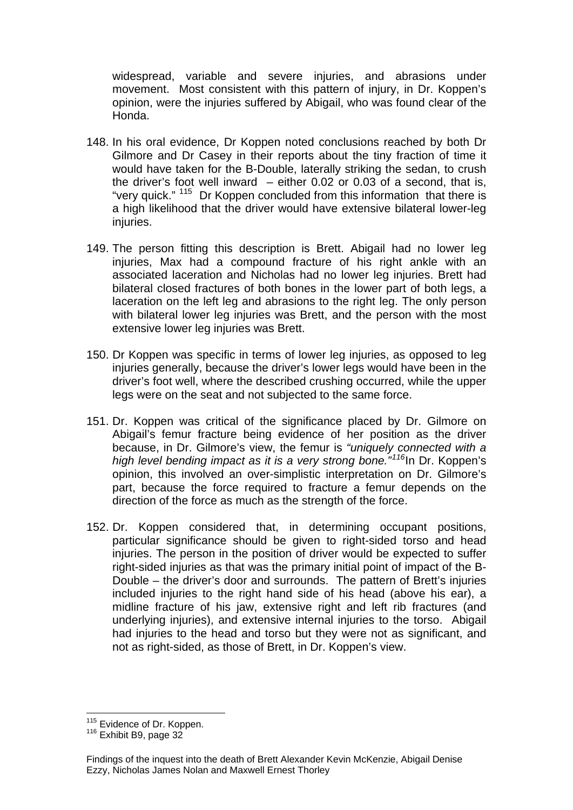widespread, variable and severe injuries, and abrasions under movement. Most consistent with this pattern of injury, in Dr. Koppen's opinion, were the injuries suffered by Abigail, who was found clear of the Honda.

- 148. In his oral evidence, Dr Koppen noted conclusions reached by both Dr Gilmore and Dr Casey in their reports about the tiny fraction of time it would have taken for the B-Double, laterally striking the sedan, to crush the driver's foot well inward  $-$  either 0.02 or 0.03 of a second, that is, "very quick." <sup>[115](#page-30-0)</sup> Dr Koppen concluded from this information that there is a high likelihood that the driver would have extensive bilateral lower-leg injuries.
- 149. The person fitting this description is Brett. Abigail had no lower leg injuries, Max had a compound fracture of his right ankle with an associated laceration and Nicholas had no lower leg injuries. Brett had bilateral closed fractures of both bones in the lower part of both legs, a laceration on the left leg and abrasions to the right leg. The only person with bilateral lower leg injuries was Brett, and the person with the most extensive lower leg injuries was Brett.
- 150. Dr Koppen was specific in terms of lower leg injuries, as opposed to leg injuries generally, because the driver's lower legs would have been in the driver's foot well, where the described crushing occurred, while the upper legs were on the seat and not subjected to the same force.
- 151. Dr. Koppen was critical of the significance placed by Dr. Gilmore on Abigail's femur fracture being evidence of her position as the driver because, in Dr. Gilmore's view, the femur is *"uniquely connected with a high level bending impact as it is a very strong bone."[116](#page-30-1)*In Dr. Koppen's opinion, this involved an over-simplistic interpretation on Dr. Gilmore's part, because the force required to fracture a femur depends on the direction of the force as much as the strength of the force.
- 152. Dr. Koppen considered that, in determining occupant positions, particular significance should be given to right-sided torso and head injuries. The person in the position of driver would be expected to suffer right-sided injuries as that was the primary initial point of impact of the B-Double – the driver's door and surrounds. The pattern of Brett's injuries included injuries to the right hand side of his head (above his ear), a midline fracture of his jaw, extensive right and left rib fractures (and underlying injuries), and extensive internal injuries to the torso. Abigail had injuries to the head and torso but they were not as significant, and not as right-sided, as those of Brett, in Dr. Koppen's view.

<span id="page-30-0"></span><sup>&</sup>lt;sup>115</sup> Evidence of Dr. Koppen.<br><sup>116</sup> Exhibit B9, page 32

<span id="page-30-1"></span>

Findings of the inquest into the death of Brett Alexander Kevin McKenzie, Abigail Denise Ezzy, Nicholas James Nolan and Maxwell Ernest Thorley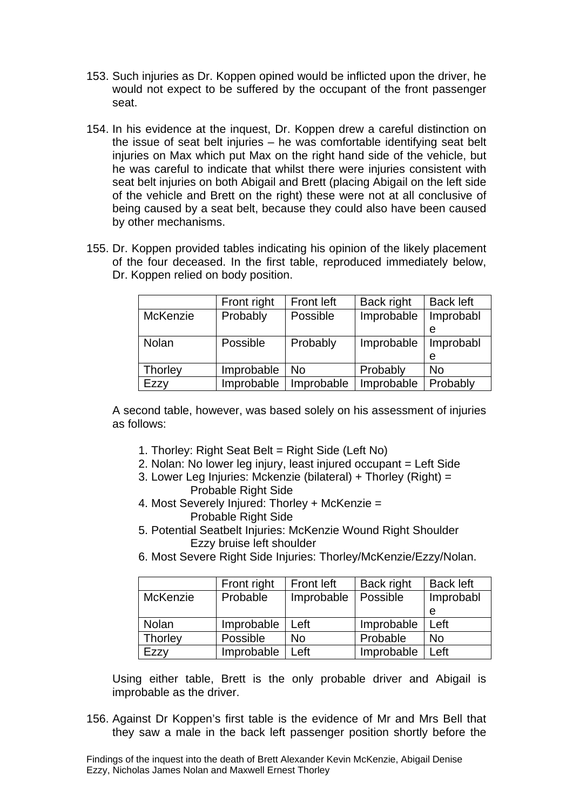- 153. Such injuries as Dr. Koppen opined would be inflicted upon the driver, he would not expect to be suffered by the occupant of the front passenger seat.
- 154. In his evidence at the inquest, Dr. Koppen drew a careful distinction on the issue of seat belt injuries – he was comfortable identifying seat belt injuries on Max which put Max on the right hand side of the vehicle, but he was careful to indicate that whilst there were injuries consistent with seat belt injuries on both Abigail and Brett (placing Abigail on the left side of the vehicle and Brett on the right) these were not at all conclusive of being caused by a seat belt, because they could also have been caused by other mechanisms.
- 155. Dr. Koppen provided tables indicating his opinion of the likely placement of the four deceased. In the first table, reproduced immediately below, Dr. Koppen relied on body position.

|          | Front right | <b>Front left</b> | Back right | <b>Back left</b> |
|----------|-------------|-------------------|------------|------------------|
| McKenzie | Probably    | Possible          | Improbable | Improbabl        |
|          |             |                   |            | е                |
| Nolan    | Possible    | Probably          | Improbable | Improbabl        |
|          |             |                   |            | е                |
| Thorley  | Improbable  | No                | Probably   | <b>No</b>        |
| Ezzv     | Improbable  | Improbable        | Improbable | Probably         |

A second table, however, was based solely on his assessment of injuries as follows:

- 1. Thorley: Right Seat Belt = Right Side (Left No)
- 2. Nolan: No lower leg injury, least injured occupant = Left Side
- 3. Lower Leg Injuries: Mckenzie (bilateral) + Thorley (Right) = Probable Right Side
- 4. Most Severely Injured: Thorley + McKenzie = Probable Right Side
- 5. Potential Seatbelt Injuries: McKenzie Wound Right Shoulder Ezzy bruise left shoulder
- 6. Most Severe Right Side Injuries: Thorley/McKenzie/Ezzy/Nolan.

|                 | Front right | <b>Front left</b> | Back right | <b>Back left</b> |
|-----------------|-------------|-------------------|------------|------------------|
| <b>McKenzie</b> | Probable    | Improbable        | Possible   | Improbabl        |
|                 |             |                   |            | e                |
| Nolan           | Improbable  | Left              | Improbable | Left             |
| Thorley         | Possible    | No                | Probable   | <b>No</b>        |
| Ezzv            | Improbable  | Left              | Improbable | Left             |

Using either table, Brett is the only probable driver and Abigail is improbable as the driver.

156. Against Dr Koppen's first table is the evidence of Mr and Mrs Bell that they saw a male in the back left passenger position shortly before the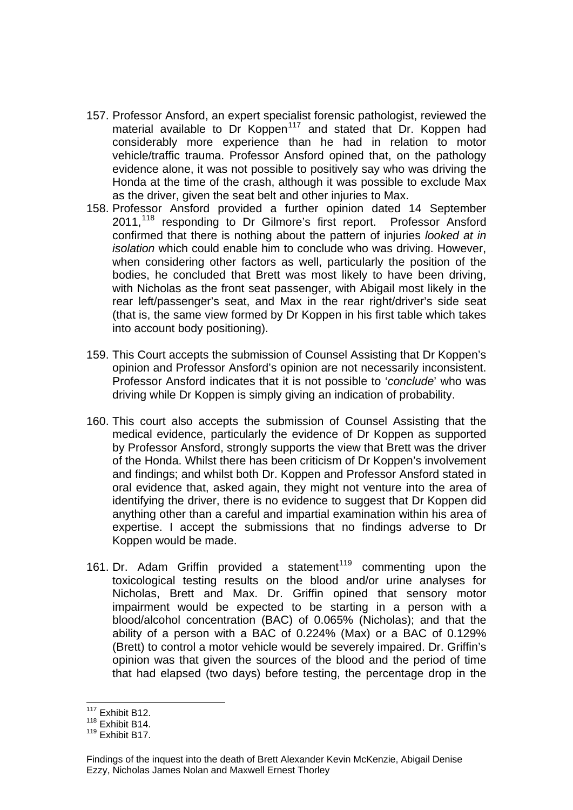- 157. Professor Ansford, an expert specialist forensic pathologist, reviewed the material available to Dr Koppen<sup>[117](#page-32-0)</sup> and stated that Dr. Koppen had considerably more experience than he had in relation to motor vehicle/traffic trauma. Professor Ansford opined that, on the pathology evidence alone, it was not possible to positively say who was driving the Honda at the time of the crash, although it was possible to exclude Max as the driver, given the seat belt and other injuries to Max.
- 158. Professor Ansford provided a further opinion dated 14 September 2011,<sup>[118](#page-32-1)</sup> responding to Dr Gilmore's first report. Professor Ansford confirmed that there is nothing about the pattern of injuries *looked at in isolation* which could enable him to conclude who was driving. However, when considering other factors as well, particularly the position of the bodies, he concluded that Brett was most likely to have been driving, with Nicholas as the front seat passenger, with Abigail most likely in the rear left/passenger's seat, and Max in the rear right/driver's side seat (that is, the same view formed by Dr Koppen in his first table which takes into account body positioning).
- 159. This Court accepts the submission of Counsel Assisting that Dr Koppen's opinion and Professor Ansford's opinion are not necessarily inconsistent. Professor Ansford indicates that it is not possible to '*conclude*' who was driving while Dr Koppen is simply giving an indication of probability.
- 160. This court also accepts the submission of Counsel Assisting that the medical evidence, particularly the evidence of Dr Koppen as supported by Professor Ansford, strongly supports the view that Brett was the driver of the Honda. Whilst there has been criticism of Dr Koppen's involvement and findings; and whilst both Dr. Koppen and Professor Ansford stated in oral evidence that, asked again, they might not venture into the area of identifying the driver, there is no evidence to suggest that Dr Koppen did anything other than a careful and impartial examination within his area of expertise. I accept the submissions that no findings adverse to Dr Koppen would be made.
- 161. Dr. Adam Griffin provided a statement<sup>[119](#page-32-2)</sup> commenting upon the toxicological testing results on the blood and/or urine analyses for Nicholas, Brett and Max. Dr. Griffin opined that sensory motor impairment would be expected to be starting in a person with a blood/alcohol concentration (BAC) of 0.065% (Nicholas); and that the ability of a person with a BAC of 0.224% (Max) or a BAC of 0.129% (Brett) to control a motor vehicle would be severely impaired. Dr. Griffin's opinion was that given the sources of the blood and the period of time that had elapsed (two days) before testing, the percentage drop in the

l <sup>117</sup> Exhibit B12.

<span id="page-32-1"></span><span id="page-32-0"></span><sup>118</sup> Exhibit B14.

<span id="page-32-2"></span><sup>119</sup> Exhibit B17.

Findings of the inquest into the death of Brett Alexander Kevin McKenzie, Abigail Denise Ezzy, Nicholas James Nolan and Maxwell Ernest Thorley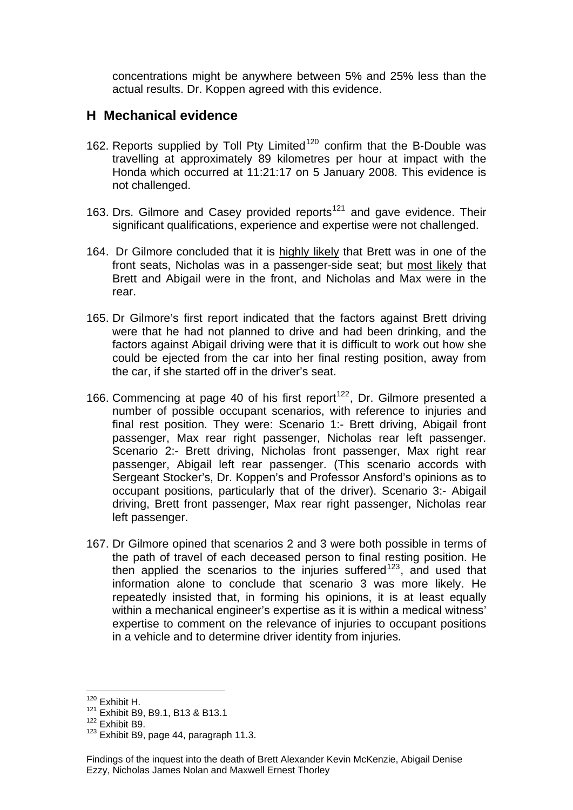concentrations might be anywhere between 5% and 25% less than the actual results. Dr. Koppen agreed with this evidence.

#### **H Mechanical evidence**

- 162. Reports supplied by Toll Pty Limited<sup>[120](#page-33-0)</sup> confirm that the B-Double was travelling at approximately 89 kilometres per hour at impact with the Honda which occurred at 11:21:17 on 5 January 2008. This evidence is not challenged.
- 163. Drs. Gilmore and Casey provided reports<sup>[121](#page-33-1)</sup> and gave evidence. Their significant qualifications, experience and expertise were not challenged.
- 164. Dr Gilmore concluded that it is highly likely that Brett was in one of the front seats, Nicholas was in a passenger-side seat; but most likely that Brett and Abigail were in the front, and Nicholas and Max were in the rear.
- 165. Dr Gilmore's first report indicated that the factors against Brett driving were that he had not planned to drive and had been drinking, and the factors against Abigail driving were that it is difficult to work out how she could be ejected from the car into her final resting position, away from the car, if she started off in the driver's seat.
- 166. Commencing at page 40 of his first report<sup>[122](#page-33-2)</sup>, Dr. Gilmore presented a number of possible occupant scenarios, with reference to injuries and final rest position. They were: Scenario 1:- Brett driving, Abigail front passenger, Max rear right passenger, Nicholas rear left passenger. Scenario 2:- Brett driving, Nicholas front passenger, Max right rear passenger, Abigail left rear passenger. (This scenario accords with Sergeant Stocker's, Dr. Koppen's and Professor Ansford's opinions as to occupant positions, particularly that of the driver). Scenario 3:- Abigail driving, Brett front passenger, Max rear right passenger, Nicholas rear left passenger.
- 167. Dr Gilmore opined that scenarios 2 and 3 were both possible in terms of the path of travel of each deceased person to final resting position. He then applied the scenarios to the injuries suffered<sup>[123](#page-33-3)</sup>, and used that information alone to conclude that scenario 3 was more likely. He repeatedly insisted that, in forming his opinions, it is at least equally within a mechanical engineer's expertise as it is within a medical witness' expertise to comment on the relevance of injuries to occupant positions in a vehicle and to determine driver identity from injuries.

 $120$  Exhibit H.

<span id="page-33-1"></span><span id="page-33-0"></span><sup>121</sup> Exhibit B9, B9.1, B13 & B13.1

<span id="page-33-2"></span><sup>122</sup> Exhibit B9.

<span id="page-33-3"></span><sup>&</sup>lt;sup>123</sup> Exhibit B9, page 44, paragraph 11.3.

Findings of the inquest into the death of Brett Alexander Kevin McKenzie, Abigail Denise Ezzy, Nicholas James Nolan and Maxwell Ernest Thorley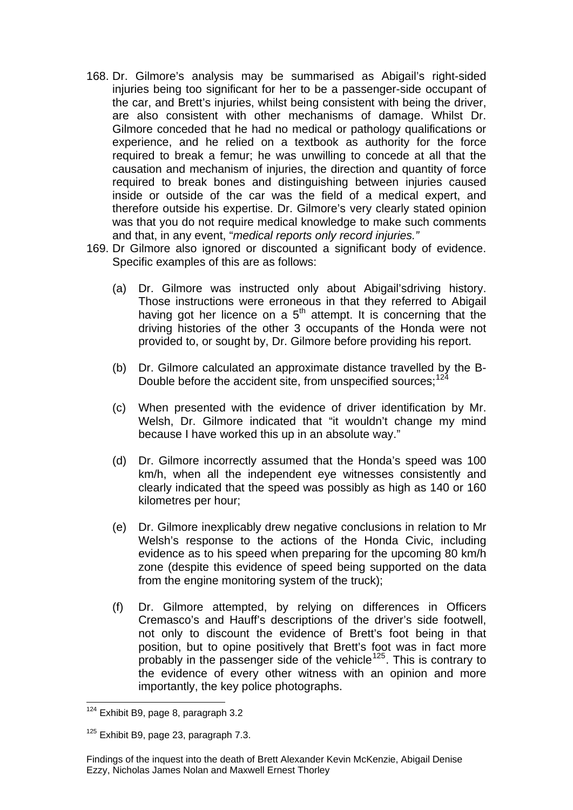- 168. Dr. Gilmore's analysis may be summarised as Abigail's right-sided injuries being too significant for her to be a passenger-side occupant of the car, and Brett's injuries, whilst being consistent with being the driver, are also consistent with other mechanisms of damage. Whilst Dr. Gilmore conceded that he had no medical or pathology qualifications or experience, and he relied on a textbook as authority for the force required to break a femur; he was unwilling to concede at all that the causation and mechanism of injuries, the direction and quantity of force required to break bones and distinguishing between injuries caused inside or outside of the car was the field of a medical expert, and therefore outside his expertise. Dr. Gilmore's very clearly stated opinion was that you do not require medical knowledge to make such comments and that, in any event, "*medical reports only record injuries."*
- 169. Dr Gilmore also ignored or discounted a significant body of evidence. Specific examples of this are as follows:
	- (a) Dr. Gilmore was instructed only about Abigail'sdriving history. Those instructions were erroneous in that they referred to Abigail having got her licence on a  $5<sup>th</sup>$  attempt. It is concerning that the driving histories of the other 3 occupants of the Honda were not provided to, or sought by, Dr. Gilmore before providing his report.
	- (b) Dr. Gilmore calculated an approximate distance travelled by the B-Double before the accident site, from unspecified sources;<sup>[124](#page-34-0)</sup>
	- (c) When presented with the evidence of driver identification by Mr. Welsh, Dr. Gilmore indicated that "it wouldn't change my mind because I have worked this up in an absolute way."
	- (d) Dr. Gilmore incorrectly assumed that the Honda's speed was 100 km/h, when all the independent eye witnesses consistently and clearly indicated that the speed was possibly as high as 140 or 160 kilometres per hour;
	- (e) Dr. Gilmore inexplicably drew negative conclusions in relation to Mr Welsh's response to the actions of the Honda Civic, including evidence as to his speed when preparing for the upcoming 80 km/h zone (despite this evidence of speed being supported on the data from the engine monitoring system of the truck);
	- (f) Dr. Gilmore attempted, by relying on differences in Officers Cremasco's and Hauff's descriptions of the driver's side footwell, not only to discount the evidence of Brett's foot being in that position, but to opine positively that Brett's foot was in fact more probably in the passenger side of the vehicle<sup>[125](#page-34-1)</sup>. This is contrary to the evidence of every other witness with an opinion and more importantly, the key police photographs.

<span id="page-34-0"></span>l  $124$  Exhibit B9, page 8, paragraph 3.2

<span id="page-34-1"></span><sup>&</sup>lt;sup>125</sup> Exhibit B9, page 23, paragraph 7.3.

Findings of the inquest into the death of Brett Alexander Kevin McKenzie, Abigail Denise Ezzy, Nicholas James Nolan and Maxwell Ernest Thorley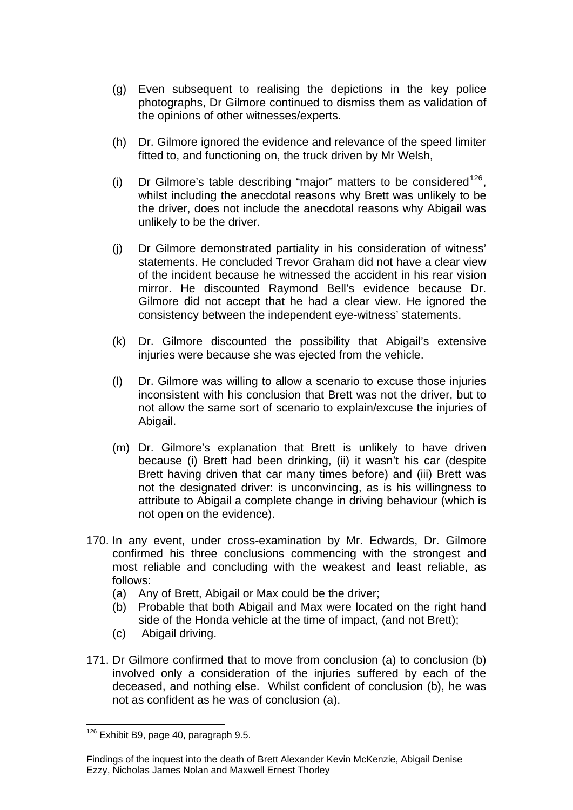- (g) Even subsequent to realising the depictions in the key police photographs, Dr Gilmore continued to dismiss them as validation of the opinions of other witnesses/experts.
- (h) Dr. Gilmore ignored the evidence and relevance of the speed limiter fitted to, and functioning on, the truck driven by Mr Welsh,
- (i) Dr Gilmore's table describing "major" matters to be considered  $126$ , whilst including the anecdotal reasons why Brett was unlikely to be the driver, does not include the anecdotal reasons why Abigail was unlikely to be the driver.
- (j) Dr Gilmore demonstrated partiality in his consideration of witness' statements. He concluded Trevor Graham did not have a clear view of the incident because he witnessed the accident in his rear vision mirror. He discounted Raymond Bell's evidence because Dr. Gilmore did not accept that he had a clear view. He ignored the consistency between the independent eye-witness' statements.
- (k) Dr. Gilmore discounted the possibility that Abigail's extensive injuries were because she was ejected from the vehicle.
- (l) Dr. Gilmore was willing to allow a scenario to excuse those injuries inconsistent with his conclusion that Brett was not the driver, but to not allow the same sort of scenario to explain/excuse the injuries of Abigail.
- (m) Dr. Gilmore's explanation that Brett is unlikely to have driven because (i) Brett had been drinking, (ii) it wasn't his car (despite Brett having driven that car many times before) and (iii) Brett was not the designated driver: is unconvincing, as is his willingness to attribute to Abigail a complete change in driving behaviour (which is not open on the evidence).
- 170. In any event, under cross-examination by Mr. Edwards, Dr. Gilmore confirmed his three conclusions commencing with the strongest and most reliable and concluding with the weakest and least reliable, as follows:
	- (a) Any of Brett, Abigail or Max could be the driver;
	- (b) Probable that both Abigail and Max were located on the right hand side of the Honda vehicle at the time of impact, (and not Brett);
	- (c) Abigail driving.
- 171. Dr Gilmore confirmed that to move from conclusion (a) to conclusion (b) involved only a consideration of the injuries suffered by each of the deceased, and nothing else. Whilst confident of conclusion (b), he was not as confident as he was of conclusion (a).

<span id="page-35-0"></span>l  $126$  Exhibit B9, page 40, paragraph 9.5.

Findings of the inquest into the death of Brett Alexander Kevin McKenzie, Abigail Denise Ezzy, Nicholas James Nolan and Maxwell Ernest Thorley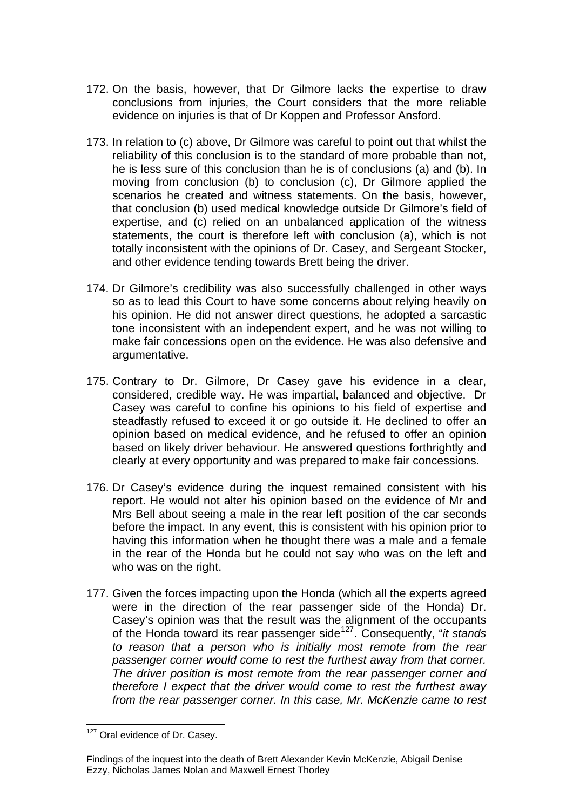- 172. On the basis, however, that Dr Gilmore lacks the expertise to draw conclusions from injuries, the Court considers that the more reliable evidence on injuries is that of Dr Koppen and Professor Ansford.
- 173. In relation to (c) above, Dr Gilmore was careful to point out that whilst the reliability of this conclusion is to the standard of more probable than not, he is less sure of this conclusion than he is of conclusions (a) and (b). In moving from conclusion (b) to conclusion (c), Dr Gilmore applied the scenarios he created and witness statements. On the basis, however, that conclusion (b) used medical knowledge outside Dr Gilmore's field of expertise, and (c) relied on an unbalanced application of the witness statements, the court is therefore left with conclusion (a), which is not totally inconsistent with the opinions of Dr. Casey, and Sergeant Stocker, and other evidence tending towards Brett being the driver.
- 174. Dr Gilmore's credibility was also successfully challenged in other ways so as to lead this Court to have some concerns about relying heavily on his opinion. He did not answer direct questions, he adopted a sarcastic tone inconsistent with an independent expert, and he was not willing to make fair concessions open on the evidence. He was also defensive and argumentative.
- 175. Contrary to Dr. Gilmore, Dr Casey gave his evidence in a clear, considered, credible way. He was impartial, balanced and objective. Dr Casey was careful to confine his opinions to his field of expertise and steadfastly refused to exceed it or go outside it. He declined to offer an opinion based on medical evidence, and he refused to offer an opinion based on likely driver behaviour. He answered questions forthrightly and clearly at every opportunity and was prepared to make fair concessions.
- 176. Dr Casey's evidence during the inquest remained consistent with his report. He would not alter his opinion based on the evidence of Mr and Mrs Bell about seeing a male in the rear left position of the car seconds before the impact. In any event, this is consistent with his opinion prior to having this information when he thought there was a male and a female in the rear of the Honda but he could not say who was on the left and who was on the right.
- 177. Given the forces impacting upon the Honda (which all the experts agreed were in the direction of the rear passenger side of the Honda) Dr. Casey's opinion was that the result was the alignment of the occupants of the Honda toward its rear passenger side[127](#page-36-0). Consequently, "*it stands to reason that a person who is initially most remote from the rear passenger corner would come to rest the furthest away from that corner. The driver position is most remote from the rear passenger corner and therefore I expect that the driver would come to rest the furthest away from the rear passenger corner. In this case, Mr. McKenzie came to rest*

<span id="page-36-0"></span>l <sup>127</sup> Oral evidence of Dr. Casey.

Findings of the inquest into the death of Brett Alexander Kevin McKenzie, Abigail Denise Ezzy, Nicholas James Nolan and Maxwell Ernest Thorley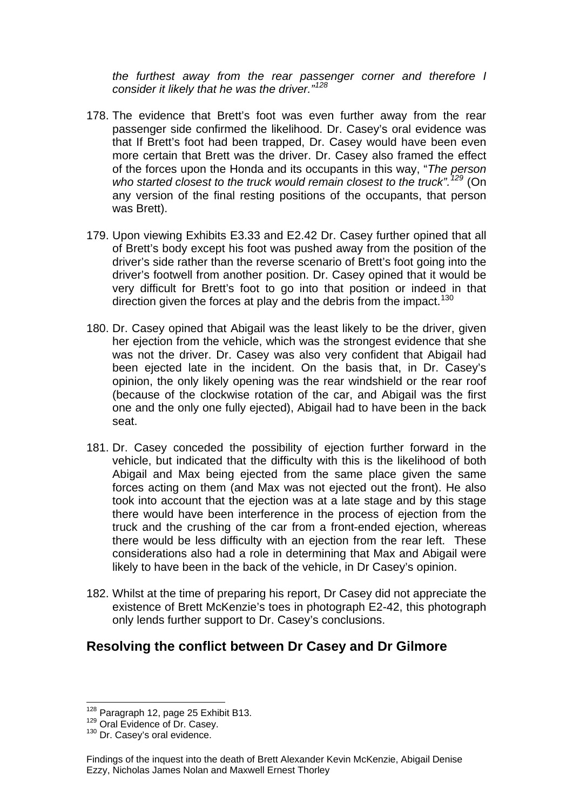*the furthest away from the rear passenger corner and therefore I consider it likely that he was the driver."<sup>128</sup>*

- 178. The evidence that Brett's foot was even further away from the rear passenger side confirmed the likelihood. Dr. Casey's oral evidence was that If Brett's foot had been trapped, Dr. Casey would have been even more certain that Brett was the driver. Dr. Casey also framed the effect of the forces upon the Honda and its occupants in this way, "*The person who started closest to the truck would remain closest to the truck".[129](#page-37-0)* (On any version of the final resting positions of the occupants, that person was Brett).
- 179. Upon viewing Exhibits E3.33 and E2.42 Dr. Casey further opined that all of Brett's body except his foot was pushed away from the position of the driver's side rather than the reverse scenario of Brett's foot going into the driver's footwell from another position. Dr. Casey opined that it would be very difficult for Brett's foot to go into that position or indeed in that direction given the forces at play and the debris from the impact.<sup>[130](#page-37-1)</sup>
- 180. Dr. Casey opined that Abigail was the least likely to be the driver, given her ejection from the vehicle, which was the strongest evidence that she was not the driver. Dr. Casey was also very confident that Abigail had been ejected late in the incident. On the basis that, in Dr. Casey's opinion, the only likely opening was the rear windshield or the rear roof (because of the clockwise rotation of the car, and Abigail was the first one and the only one fully ejected), Abigail had to have been in the back seat.
- 181. Dr. Casey conceded the possibility of ejection further forward in the vehicle, but indicated that the difficulty with this is the likelihood of both Abigail and Max being ejected from the same place given the same forces acting on them (and Max was not ejected out the front). He also took into account that the ejection was at a late stage and by this stage there would have been interference in the process of ejection from the truck and the crushing of the car from a front-ended ejection, whereas there would be less difficulty with an ejection from the rear left. These considerations also had a role in determining that Max and Abigail were likely to have been in the back of the vehicle, in Dr Casey's opinion.
- 182. Whilst at the time of preparing his report, Dr Casey did not appreciate the existence of Brett McKenzie's toes in photograph E2-42, this photograph only lends further support to Dr. Casey's conclusions.

#### **Resolving the conflict between Dr Casey and Dr Gilmore**

l <sup>128</sup> Paragraph 12, page 25 Exhibit B13.<br><sup>129</sup> Oral Evidence of Dr. Casey.<br><sup>130</sup> Dr. Casey's oral evidence.

<span id="page-37-0"></span>

<span id="page-37-1"></span>

Findings of the inquest into the death of Brett Alexander Kevin McKenzie, Abigail Denise Ezzy, Nicholas James Nolan and Maxwell Ernest Thorley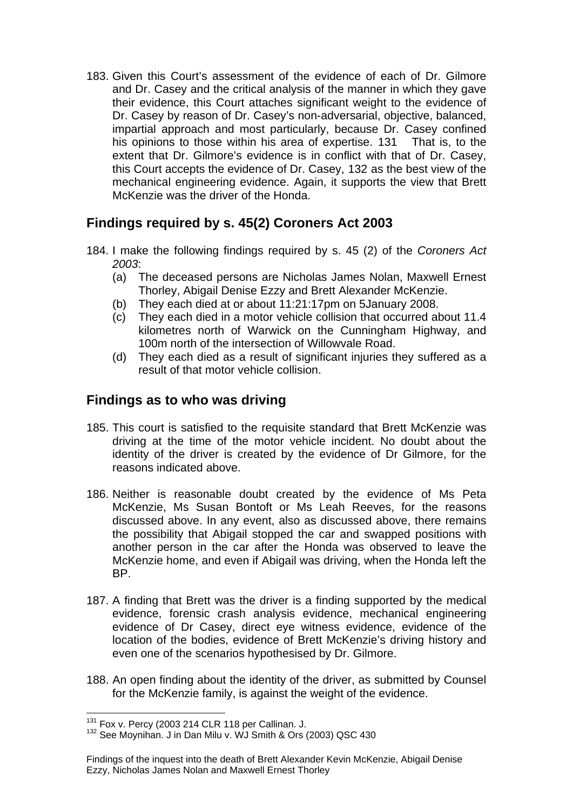183. Given this Court's assessment of the evidence of each of Dr. Gilmore and Dr. Casey and the critical analysis of the manner in which they gave their evidence, this Court attaches significant weight to the evidence of Dr. Casey by reason of Dr. Casey's non-adversarial, objective, balanced, impartial approach and most particularly, because Dr. Casey confined his opinions to those within his area of expertise. [131](#page-38-0) That is, to the extent that Dr. Gilmore's evidence is in conflict with that of Dr. Casey, this Court accepts the evidence of Dr. Casey, [132](#page-38-1) as the best view of the mechanical engineering evidence. Again, it supports the view that Brett McKenzie was the driver of the Honda.

## **Findings required by s. 45(2) Coroners Act 2003**

- 184. I make the following findings required by s. 45 (2) of the *Coroners Act 2003*:
	- (a) The deceased persons are Nicholas James Nolan, Maxwell Ernest Thorley, Abigail Denise Ezzy and Brett Alexander McKenzie.
	- (b) They each died at or about 11:21:17pm on 5January 2008.
	- (c) They each died in a motor vehicle collision that occurred about 11.4 kilometres north of Warwick on the Cunningham Highway, and 100m north of the intersection of Willowvale Road.
	- (d) They each died as a result of significant injuries they suffered as a result of that motor vehicle collision.

## **Findings as to who was driving**

- 185. This court is satisfied to the requisite standard that Brett McKenzie was driving at the time of the motor vehicle incident. No doubt about the identity of the driver is created by the evidence of Dr Gilmore, for the reasons indicated above.
- 186. Neither is reasonable doubt created by the evidence of Ms Peta McKenzie, Ms Susan Bontoft or Ms Leah Reeves, for the reasons discussed above. In any event, also as discussed above, there remains the possibility that Abigail stopped the car and swapped positions with another person in the car after the Honda was observed to leave the McKenzie home, and even if Abigail was driving, when the Honda left the BP.
- 187. A finding that Brett was the driver is a finding supported by the medical evidence, forensic crash analysis evidence, mechanical engineering evidence of Dr Casey, direct eye witness evidence, evidence of the location of the bodies, evidence of Brett McKenzie's driving history and even one of the scenarios hypothesised by Dr. Gilmore.
- 188. An open finding about the identity of the driver, as submitted by Counsel for the McKenzie family, is against the weight of the evidence.

l

<span id="page-38-1"></span><span id="page-38-0"></span> $131$  Fox v. Percy (2003 214 CLR 118 per Callinan. J.<br> $132$  See Moynihan. J in Dan Milu v. WJ Smith & Ors (2003) QSC 430

Findings of the inquest into the death of Brett Alexander Kevin McKenzie, Abigail Denise Ezzy, Nicholas James Nolan and Maxwell Ernest Thorley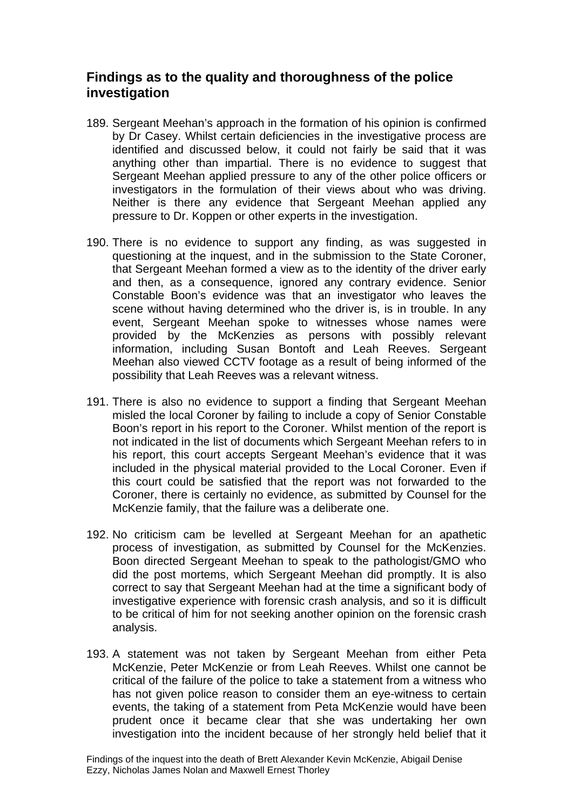## **Findings as to the quality and thoroughness of the police investigation**

- 189. Sergeant Meehan's approach in the formation of his opinion is confirmed by Dr Casey. Whilst certain deficiencies in the investigative process are identified and discussed below, it could not fairly be said that it was anything other than impartial. There is no evidence to suggest that Sergeant Meehan applied pressure to any of the other police officers or investigators in the formulation of their views about who was driving. Neither is there any evidence that Sergeant Meehan applied any pressure to Dr. Koppen or other experts in the investigation.
- 190. There is no evidence to support any finding, as was suggested in questioning at the inquest, and in the submission to the State Coroner, that Sergeant Meehan formed a view as to the identity of the driver early and then, as a consequence, ignored any contrary evidence. Senior Constable Boon's evidence was that an investigator who leaves the scene without having determined who the driver is, is in trouble. In any event, Sergeant Meehan spoke to witnesses whose names were provided by the McKenzies as persons with possibly relevant information, including Susan Bontoft and Leah Reeves. Sergeant Meehan also viewed CCTV footage as a result of being informed of the possibility that Leah Reeves was a relevant witness.
- 191. There is also no evidence to support a finding that Sergeant Meehan misled the local Coroner by failing to include a copy of Senior Constable Boon's report in his report to the Coroner. Whilst mention of the report is not indicated in the list of documents which Sergeant Meehan refers to in his report, this court accepts Sergeant Meehan's evidence that it was included in the physical material provided to the Local Coroner. Even if this court could be satisfied that the report was not forwarded to the Coroner, there is certainly no evidence, as submitted by Counsel for the McKenzie family, that the failure was a deliberate one.
- 192. No criticism cam be levelled at Sergeant Meehan for an apathetic process of investigation, as submitted by Counsel for the McKenzies. Boon directed Sergeant Meehan to speak to the pathologist/GMO who did the post mortems, which Sergeant Meehan did promptly. It is also correct to say that Sergeant Meehan had at the time a significant body of investigative experience with forensic crash analysis, and so it is difficult to be critical of him for not seeking another opinion on the forensic crash analysis.
- 193. A statement was not taken by Sergeant Meehan from either Peta McKenzie, Peter McKenzie or from Leah Reeves. Whilst one cannot be critical of the failure of the police to take a statement from a witness who has not given police reason to consider them an eye-witness to certain events, the taking of a statement from Peta McKenzie would have been prudent once it became clear that she was undertaking her own investigation into the incident because of her strongly held belief that it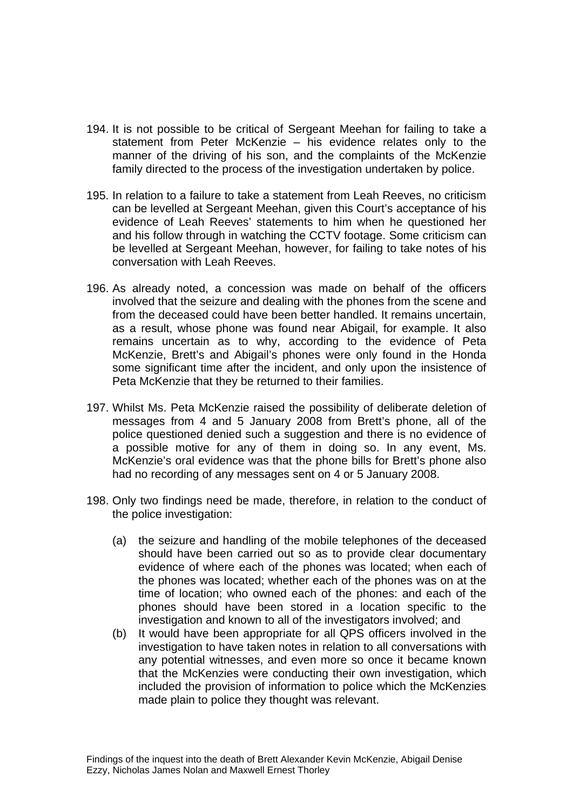- 194. It is not possible to be critical of Sergeant Meehan for failing to take a statement from Peter McKenzie – his evidence relates only to the manner of the driving of his son, and the complaints of the McKenzie family directed to the process of the investigation undertaken by police.
- 195. In relation to a failure to take a statement from Leah Reeves, no criticism can be levelled at Sergeant Meehan, given this Court's acceptance of his evidence of Leah Reeves' statements to him when he questioned her and his follow through in watching the CCTV footage. Some criticism can be levelled at Sergeant Meehan, however, for failing to take notes of his conversation with Leah Reeves.
- 196. As already noted, a concession was made on behalf of the officers involved that the seizure and dealing with the phones from the scene and from the deceased could have been better handled. It remains uncertain, as a result, whose phone was found near Abigail, for example. It also remains uncertain as to why, according to the evidence of Peta McKenzie, Brett's and Abigail's phones were only found in the Honda some significant time after the incident, and only upon the insistence of Peta McKenzie that they be returned to their families.
- 197. Whilst Ms. Peta McKenzie raised the possibility of deliberate deletion of messages from 4 and 5 January 2008 from Brett's phone, all of the police questioned denied such a suggestion and there is no evidence of a possible motive for any of them in doing so. In any event, Ms. McKenzie's oral evidence was that the phone bills for Brett's phone also had no recording of any messages sent on 4 or 5 January 2008.
- 198. Only two findings need be made, therefore, in relation to the conduct of the police investigation:
	- (a) the seizure and handling of the mobile telephones of the deceased should have been carried out so as to provide clear documentary evidence of where each of the phones was located; when each of the phones was located; whether each of the phones was on at the time of location; who owned each of the phones: and each of the phones should have been stored in a location specific to the investigation and known to all of the investigators involved; and
	- (b) It would have been appropriate for all QPS officers involved in the investigation to have taken notes in relation to all conversations with any potential witnesses, and even more so once it became known that the McKenzies were conducting their own investigation, which included the provision of information to police which the McKenzies made plain to police they thought was relevant.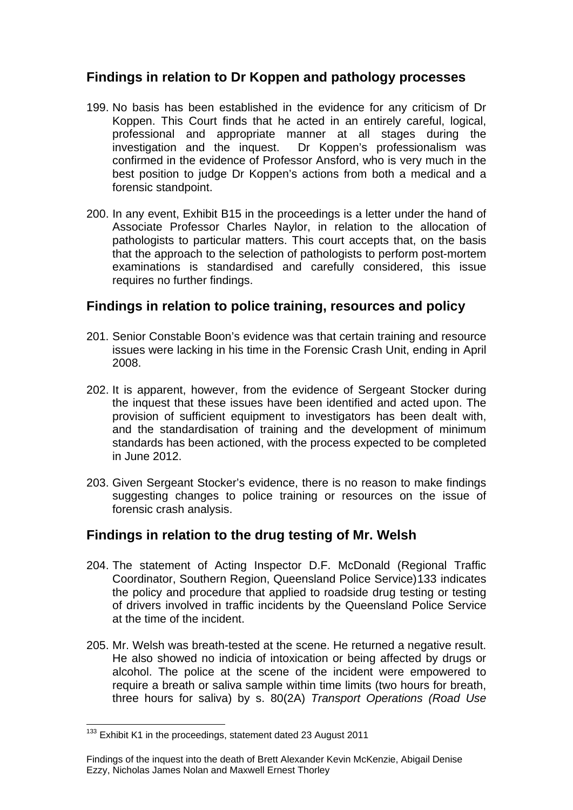## **Findings in relation to Dr Koppen and pathology processes**

- 199. No basis has been established in the evidence for any criticism of Dr Koppen. This Court finds that he acted in an entirely careful, logical, professional and appropriate manner at all stages during the investigation and the inquest. Dr Koppen's professionalism was Dr Koppen's professionalism was confirmed in the evidence of Professor Ansford, who is very much in the best position to judge Dr Koppen's actions from both a medical and a forensic standpoint.
- 200. In any event, Exhibit B15 in the proceedings is a letter under the hand of Associate Professor Charles Naylor, in relation to the allocation of pathologists to particular matters. This court accepts that, on the basis that the approach to the selection of pathologists to perform post-mortem examinations is standardised and carefully considered, this issue requires no further findings.

## **Findings in relation to police training, resources and policy**

- 201. Senior Constable Boon's evidence was that certain training and resource issues were lacking in his time in the Forensic Crash Unit, ending in April 2008.
- 202. It is apparent, however, from the evidence of Sergeant Stocker during the inquest that these issues have been identified and acted upon. The provision of sufficient equipment to investigators has been dealt with, and the standardisation of training and the development of minimum standards has been actioned, with the process expected to be completed in June 2012.
- 203. Given Sergeant Stocker's evidence, there is no reason to make findings suggesting changes to police training or resources on the issue of forensic crash analysis.

## **Findings in relation to the drug testing of Mr. Welsh**

- 204. The statement of Acting Inspector D.F. McDonald (Regional Traffic Coordinator, Southern Region, Queensland Police Service)[133](#page-41-0) indicates the policy and procedure that applied to roadside drug testing or testing of drivers involved in traffic incidents by the Queensland Police Service at the time of the incident.
- 205. Mr. Welsh was breath-tested at the scene. He returned a negative result. He also showed no indicia of intoxication or being affected by drugs or alcohol. The police at the scene of the incident were empowered to require a breath or saliva sample within time limits (two hours for breath, three hours for saliva) by s. 80(2A) *Transport Operations (Road Use*

<span id="page-41-0"></span> $133$  Exhibit K1 in the proceedings, statement dated 23 August 2011

Findings of the inquest into the death of Brett Alexander Kevin McKenzie, Abigail Denise Ezzy, Nicholas James Nolan and Maxwell Ernest Thorley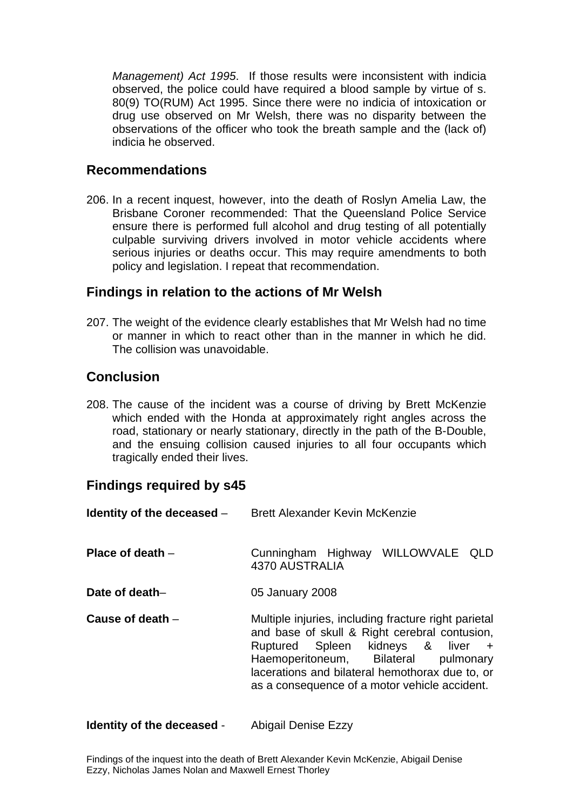*Management) Act 1995*. If those results were inconsistent with indicia observed, the police could have required a blood sample by virtue of s. 80(9) TO(RUM) Act 1995. Since there were no indicia of intoxication or drug use observed on Mr Welsh, there was no disparity between the observations of the officer who took the breath sample and the (lack of) indicia he observed.

#### **Recommendations**

206. In a recent inquest, however, into the death of Roslyn Amelia Law, the Brisbane Coroner recommended: That the Queensland Police Service ensure there is performed full alcohol and drug testing of all potentially culpable surviving drivers involved in motor vehicle accidents where serious injuries or deaths occur. This may require amendments to both policy and legislation. I repeat that recommendation.

#### **Findings in relation to the actions of Mr Welsh**

207. The weight of the evidence clearly establishes that Mr Welsh had no time or manner in which to react other than in the manner in which he did. The collision was unavoidable.

## **Conclusion**

208. The cause of the incident was a course of driving by Brett McKenzie which ended with the Honda at approximately right angles across the road, stationary or nearly stationary, directly in the path of the B-Double, and the ensuing collision caused injuries to all four occupants which tragically ended their lives.

## **Findings required by s45**

| Identity of the deceased $-$ | <b>Brett Alexander Kevin McKenzie</b>                                                                                                                                                                                                                                                     |
|------------------------------|-------------------------------------------------------------------------------------------------------------------------------------------------------------------------------------------------------------------------------------------------------------------------------------------|
| Place of death $-$           | Cunningham Highway WILLOWVALE QLD<br>4370 AUSTRALIA                                                                                                                                                                                                                                       |
| Date of death-               | 05 January 2008                                                                                                                                                                                                                                                                           |
| Cause of death $-$           | Multiple injuries, including fracture right parietal<br>and base of skull & Right cerebral contusion,<br>Ruptured Spleen kidneys & liver +<br>Haemoperitoneum, Bilateral<br>pulmonary<br>lacerations and bilateral hemothorax due to, or<br>as a consequence of a motor vehicle accident. |

**Identity of the deceased - Abigail Denise Ezzy**